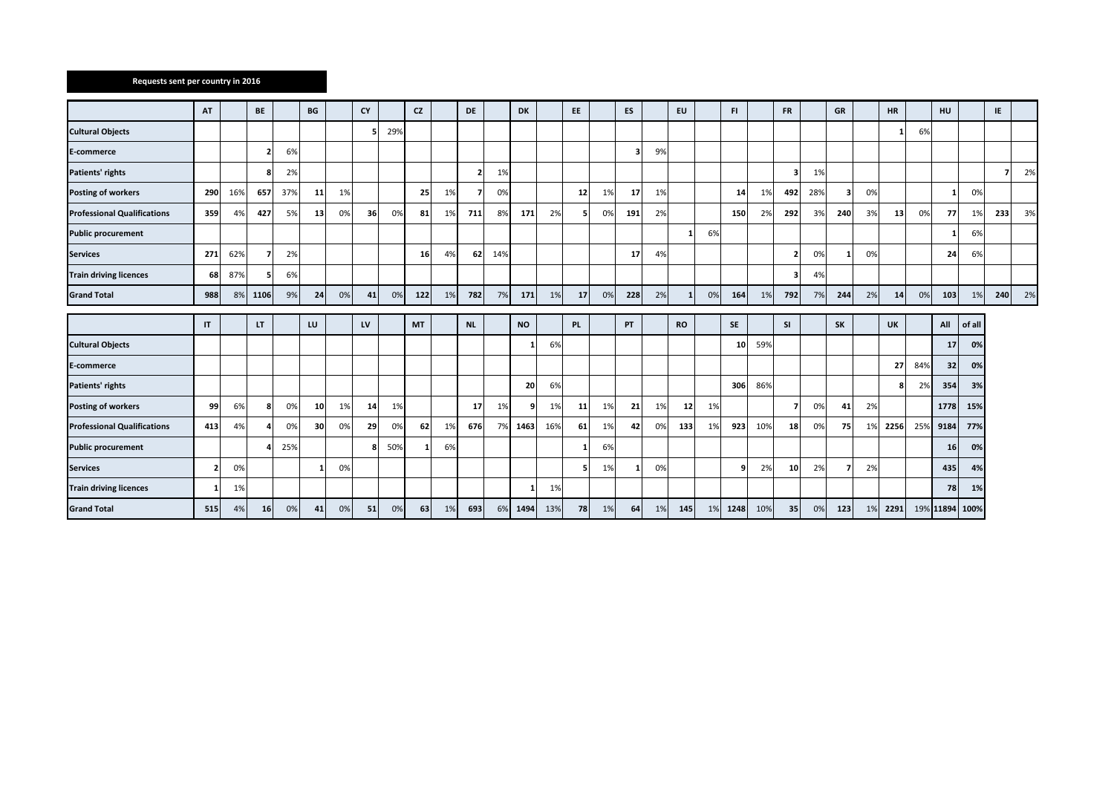## **Requests sent per country in 2016**

|                                    | AT             |     | <b>BE</b> |     | BG |    | <b>CY</b> |     | <b>CZ</b> |    | <b>DE</b> |     | DK        |     | EE.               |    | ES  |    | EU        |    | FI.       |     | <b>FR</b>               |     | GR        |    | HR        |     | HU        |        | IE  |    |
|------------------------------------|----------------|-----|-----------|-----|----|----|-----------|-----|-----------|----|-----------|-----|-----------|-----|-------------------|----|-----|----|-----------|----|-----------|-----|-------------------------|-----|-----------|----|-----------|-----|-----------|--------|-----|----|
| <b>Cultural Objects</b>            |                |     |           |     |    |    |           | 29% |           |    |           |     |           |     |                   |    |     |    |           |    |           |     |                         |     |           |    |           | 6%  |           |        |     |    |
| E-commerce                         |                |     |           | 6%  |    |    |           |     |           |    |           |     |           |     |                   |    | з   | 9% |           |    |           |     |                         |     |           |    |           |     |           |        |     |    |
| Patients' rights                   |                |     | я         | 2%  |    |    |           |     |           |    |           | 1%  |           |     |                   |    |     |    |           |    |           |     | з                       | 1%  |           |    |           |     |           |        |     | 2% |
| <b>Posting of workers</b>          | 290            | 16% | 657       | 37% | 11 | 1% |           |     | 25        | 1% | 7         | 0%  |           |     | $12 \overline{ }$ | 1% | 17  | 1% |           |    | 14        | 1%  | 492                     | 28% | Э         | 0% |           |     |           | 0%     |     |    |
| <b>Professional Qualifications</b> | 359            | 4%  | 427       | 5%  | 13 | 0% | 36        | 0%  | 81        | 1% | 711       | 8%  | 171       | 2%  |                   | 0% | 191 | 2% |           |    | 150       | 2%  | 292                     | 3%  | 240       | 3% | 13        | 0%  | <b>77</b> | 1%     | 233 | 3% |
| <b>Public procurement</b>          |                |     |           |     |    |    |           |     |           |    |           |     |           |     |                   |    |     |    |           | 6% |           |     |                         |     |           |    |           |     |           | 6%     |     |    |
| <b>Services</b>                    | 271            | 62% |           | 2%  |    |    |           |     | <b>16</b> | 4% | 62        | 14% |           |     |                   |    | 17  | 4% |           |    |           |     | $\overline{\mathbf{z}}$ | 0%  | -1        | 0% |           |     | 24        | 6%     |     |    |
| <b>Train driving licences</b>      | 68             | 87% |           | 6%  |    |    |           |     |           |    |           |     |           |     |                   |    |     |    |           |    |           |     | 3                       | 4%  |           |    |           |     |           |        |     |    |
| <b>Grand Total</b>                 | 988            | 8%  | 1106      | 9%  | 24 | 0% | 41        | 0%  | 122       | 1% | 782       | 7%  | 171       | 1%  | 17                | 0% | 228 | 2% | 1         | 0% | 164       | 1%  | 792                     | 7%  | 244       | 2% | 14        | 0%  | 103       | 1%     | 240 | 2% |
|                                    |                |     |           |     |    |    |           |     |           |    |           |     |           |     |                   |    |     |    |           |    |           |     |                         |     |           |    |           |     |           |        |     |    |
|                                    | IT             |     | LT.       |     | LU |    | LV        |     | MT        |    | <b>NL</b> |     | <b>NO</b> |     | PL.               |    | PT  |    | <b>RO</b> |    | <b>SE</b> |     | <b>SI</b>               |     | <b>SK</b> |    | <b>UK</b> |     | All       | of all |     |    |
| <b>Cultural Objects</b>            |                |     |           |     |    |    |           |     |           |    |           |     |           | 6%  |                   |    |     |    |           |    | 10        | 59% |                         |     |           |    |           |     | 17        | 0%     |     |    |
| E-commerce                         |                |     |           |     |    |    |           |     |           |    |           |     |           |     |                   |    |     |    |           |    |           |     |                         |     |           |    | 27        | 84% | 32        | 0%     |     |    |
| Patients' rights                   |                |     |           |     |    |    |           |     |           |    |           |     | 20        | 6%  |                   |    |     |    |           |    | 306       | 86% |                         |     |           |    |           | 2%  | 354       | 3%     |     |    |
| <b>Posting of workers</b>          | 99             | 6%  | -8        | 0%  | 10 | 1% | 14        | 1%  |           |    | 17        | 1%  |           | 1%  | 11                | 1% | 21  | 1% | 12        | 1% |           |     | 7                       | 0%  | 41        | 2% |           |     | 1778      | 15%    |     |    |
| <b>Professional Qualifications</b> | 413            | 4%  |           | 0%  | 30 | 0% | 29        | 0%  | 62        | 1% | 676       | 7%  | 1463      | 16% | 61                | 1% | 42  | 0% | 133       | 1% | 923       | 10% | 18                      | 0%  | 75        | 1% | 2256      | 25% | 9184      | 77%    |     |    |
| <b>Public procurement</b>          |                |     |           | 25% |    |    |           | 50% |           | 6% |           |     |           |     | 1                 | 6% |     |    |           |    |           |     |                         |     |           |    |           |     | 16        | 0%     |     |    |
| <b>Services</b>                    | $\overline{2}$ | 0%  |           |     |    | 0% |           |     |           |    |           |     |           |     | 5                 | 1% |     | 0% |           |    | q         | 2%  | 10                      | 2%  |           | 2% |           |     | 435       | 4%     |     |    |
| <b>Train driving licences</b>      | $\mathbf{1}$   | 1%  |           |     |    |    |           |     |           |    |           |     |           | 1%  |                   |    |     |    |           |    |           |     |                         |     |           |    |           |     | 78        | 1%     |     |    |
|                                    |                |     |           |     |    |    |           |     |           |    |           |     |           |     |                   |    |     |    |           |    |           |     |                         |     |           |    |           |     |           |        |     |    |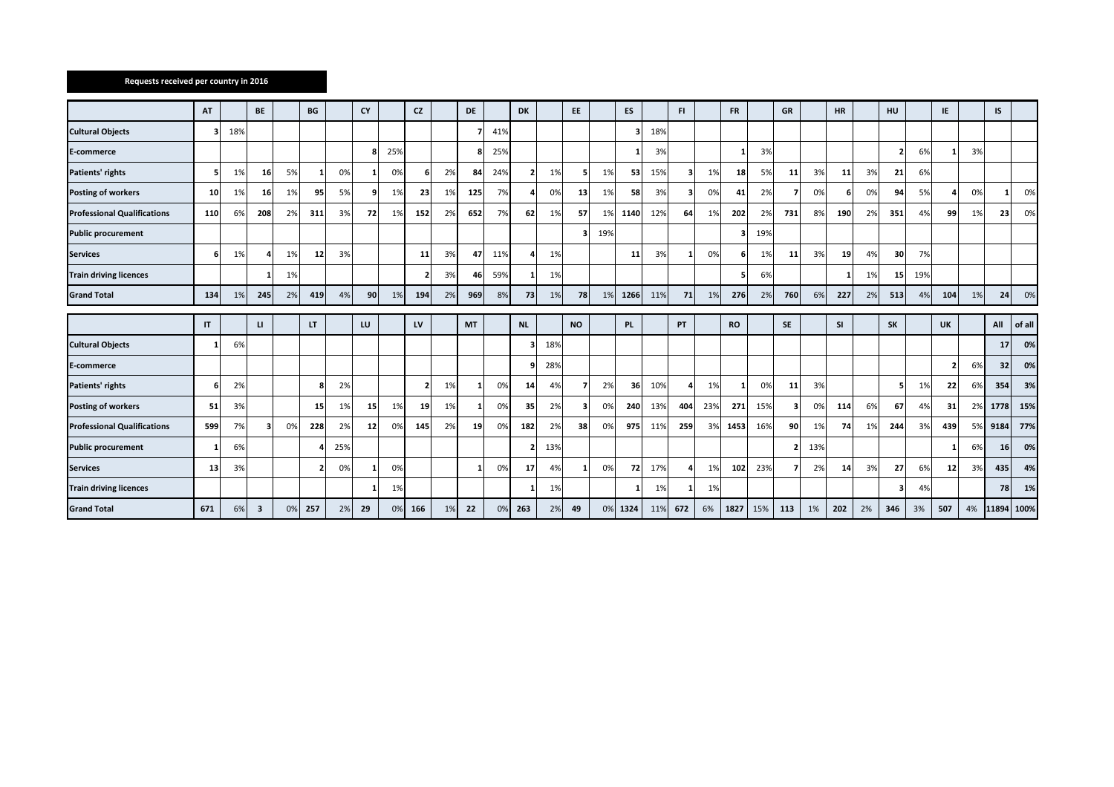## **Requests received per country in 2016**

|                                    | AT              |     | <b>BE</b> |    | BG                      |     | <b>CY</b> |     | <b>CZ</b> |    | <b>DE</b> |     | <b>DK</b> |     | EE.       |     | ES   |     | F1  |     | <b>FR</b> |     | GR        |     | <b>HR</b> |    | HU                      |     | IE             |    | IS              |        |
|------------------------------------|-----------------|-----|-----------|----|-------------------------|-----|-----------|-----|-----------|----|-----------|-----|-----------|-----|-----------|-----|------|-----|-----|-----|-----------|-----|-----------|-----|-----------|----|-------------------------|-----|----------------|----|-----------------|--------|
| <b>Cultural Objects</b>            | 3               | 18% |           |    |                         |     |           |     |           |    |           | 41% |           |     |           |     |      | 18% |     |     |           |     |           |     |           |    |                         |     |                |    |                 |        |
| E-commerce                         |                 |     |           |    |                         |     |           | 25% |           |    |           | 25% |           |     |           |     |      | 3%  |     |     |           | 3%  |           |     |           |    | $\overline{2}$          | 6%  |                | 3% |                 |        |
| Patients' rights                   | -51             | 1%  | 16        | 5% |                         | 0%  |           | 0%  |           | 2% | 84        | 24% |           | 1%  |           | 1%  | 53   | 15% |     | 1%  | 18        | 5%  | 11        | 3%  | 11        | 3% | 21                      | 6%  |                |    |                 |        |
| <b>Posting of workers</b>          | 10 <sup>1</sup> | 1%  | 16        | 1% | 95                      | 5%  | q         | 1%  | 23        | 1% | 125       | 7%  |           | 0%  | 13        | 1%  | 58   | 3%  | 3   | 0%  | 41        | 2%  | 7         | 0%  | 61        | 0% | 94                      | 5%  | 4              | 0% | $\mathbf{1}$    | 0%     |
| <b>Professional Qualifications</b> | 110             | 6%  | 208       | 2% | 311                     | 3%  | 72        | 1%  | 152       | 2% | 652       | 7%  | 62        | 1%  | 57        | 1%  | 1140 | 12% | 64  | 1%  | 202       | 2%  | 731       | 8%  | 190       | 2% | 351                     | 4%  | 99             | 1% | 23              | 0%     |
| <b>Public procurement</b>          |                 |     |           |    |                         |     |           |     |           |    |           |     |           |     | 3.        | 19% |      |     |     |     | з         | 19% |           |     |           |    |                         |     |                |    |                 |        |
| <b>Services</b>                    | -61             | 1%  |           | 1% | 12                      | 3%  |           |     | 11        | 3% | 47        | 11% |           | 1%  |           |     | 11   | 3%  |     | 0%  | 6         | 1%  | 11        | 3%  | 19        | 4% | 30 <sub>1</sub>         | 7%  |                |    |                 |        |
| <b>Train driving licences</b>      |                 |     |           | 1% |                         |     |           |     |           | 3% | 46        | 59% |           | 1%  |           |     |      |     |     |     |           | 6%  |           |     | 1         | 1% | 15                      | 19% |                |    |                 |        |
| <b>Grand Total</b>                 | 134             | 1%  | 245       | 2% | 419                     | 4%  | 90        | 1%  | 194       | 2% | 969       | 8%  | 73        | 1%  | 78        | 1%  | 1266 | 11% | 71  | 1%  | 276       | 2%  | 760       | 6%  | 227       | 2% | 513                     | 4%  | 104            | 1% | 24              | 0%     |
|                                    |                 |     |           |    |                         |     |           |     |           |    |           |     |           |     |           |     |      |     |     |     |           |     |           |     |           |    |                         |     |                |    |                 |        |
|                                    | IT              |     | п         |    | LT.                     |     | LU        |     | LV        |    | MT        |     | <b>NL</b> |     | <b>NO</b> |     | PL.  |     | PT  |     | <b>RO</b> |     | <b>SE</b> |     | <b>SI</b> |    | SK                      |     | UK             |    | All             | of all |
| <b>Cultural Objects</b>            | $\mathbf{1}$    | 6%  |           |    |                         |     |           |     |           |    |           |     |           | 18% |           |     |      |     |     |     |           |     |           |     |           |    |                         |     |                |    | 17 <sup>1</sup> | 0%     |
| E-commerce                         |                 |     |           |    |                         |     |           |     |           |    |           |     |           | 28% |           |     |      |     |     |     |           |     |           |     |           |    |                         |     | $\overline{2}$ | 6% | 32              | 0%     |
| Patients' rights                   | 6               | 2%  |           |    | я                       | 2%  |           |     |           | 1% |           | 0%  | 14        | 4%  |           | 2%  | 36   | 10% |     | 1%  |           | 0%  | 11        | 3%  |           |    | 5 <sub>l</sub>          | 1%  | 22             | 6% | 354             | 3%     |
| <b>Posting of workers</b>          | 51              | 3%  |           |    | 15                      | 1%  | 15        | 1%  | 19        | 1% |           | 0%  | 35        | 2%  | 3         | 0%  | 240  | 13% | 404 | 23% | 271       | 15% | 3         | 0%  | 114       | 6% | 67                      | 4%  | 31             | 2% | 1778            | 15%    |
| <b>Professional Qualifications</b> | 599             | 7%  |           | 0% | 228                     | 2%  | 12        | 0%  | 145       | 2% | 19        | 0%  | 182       | 2%  | 38        | 0%  | 975  | 11% | 259 | 39  | 1453      | 16% | 90        | 1%  | 74        | 1% | 244                     | 3%  | 439            | 5% | 9184            | 77%    |
| <b>Public procurement</b>          | 1               | 6%  |           |    |                         | 25% |           |     |           |    |           |     |           | 13% |           |     |      |     |     |     |           |     | 2         | 13% |           |    |                         |     |                | 6% | 16              | 0%     |
| <b>Services</b>                    | 13              | 3%  |           |    | $\overline{\mathbf{z}}$ | 0%  |           | 0%  |           |    |           | 0%  | 17        | 4%  |           | 0%  | 72   | 17% |     | 1%  | 102       | 23% | 7         | 2%  | 14        | 3% | 27                      | 6%  | 12             | 3% | 435             | 4%     |
| <b>Train driving licences</b>      |                 |     |           |    |                         |     |           | 1%  |           |    |           |     |           | 1%  |           |     |      | 1%  |     | 1%  |           |     |           |     |           |    | $\overline{\mathbf{3}}$ | 4%  |                |    | 78              | 1%     |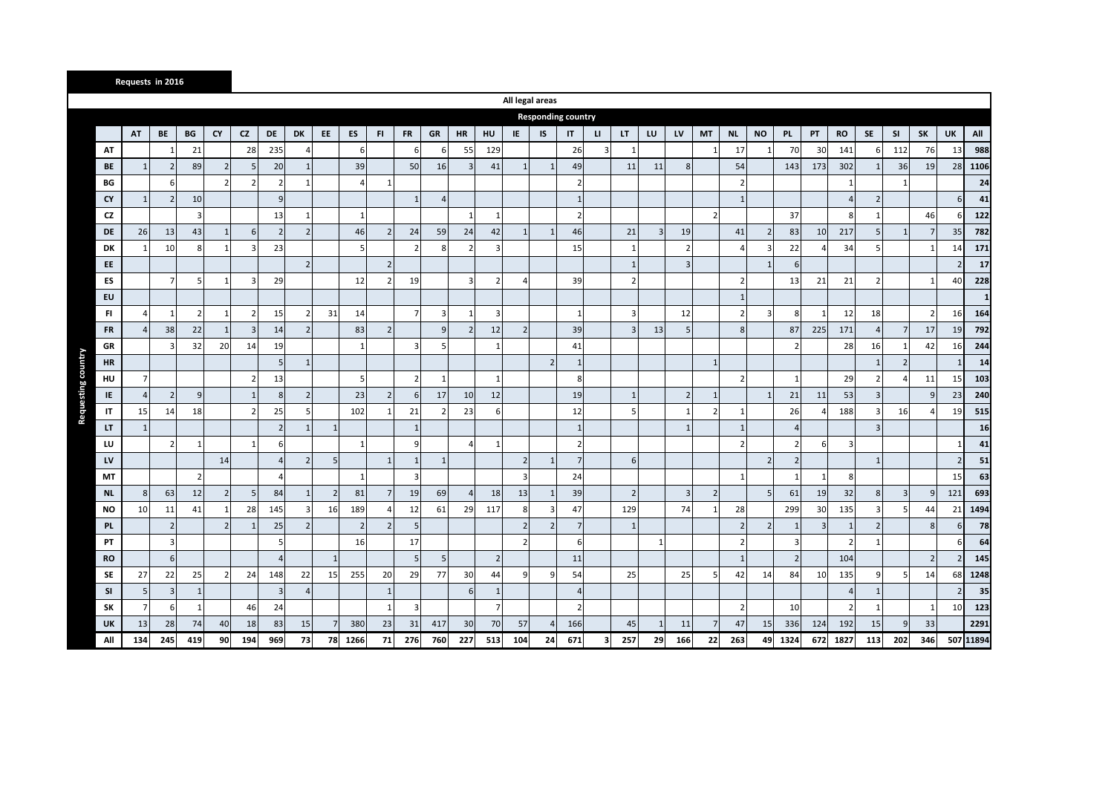|                        | Requests in 2016 |                |                |                |                         |                |                          |                |                |                |                |                          |                          |                          |                |                           |                        |                         |                          |              |                         |                |                |                |                          |     |                |                |                |                |               |           |
|------------------------|------------------|----------------|----------------|----------------|-------------------------|----------------|--------------------------|----------------|----------------|----------------|----------------|--------------------------|--------------------------|--------------------------|----------------|---------------------------|------------------------|-------------------------|--------------------------|--------------|-------------------------|----------------|----------------|----------------|--------------------------|-----|----------------|----------------|----------------|----------------|---------------|-----------|
|                        |                  |                |                |                |                         |                |                          |                |                |                |                |                          |                          |                          |                | All legal areas           |                        |                         |                          |              |                         |                |                |                |                          |     |                |                |                |                |               |           |
|                        |                  |                |                |                |                         |                |                          |                |                |                |                |                          |                          |                          |                | <b>Responding country</b> |                        |                         |                          |              |                         |                |                |                |                          |     |                |                |                |                |               |           |
|                        | AT               | BE             | BG             | <b>CY</b>      | CZ                      | <b>DE</b>      | DK                       | EE             | ES             | FI.            | <b>FR</b>      | GR                       | <b>HR</b>                | HU                       | IE.            | IS                        | $\mathsf{I}\mathsf{T}$ | $\mathbf{u}$            | LT.                      | LU           | LV                      | <b>MT</b>      | <b>NL</b>      | <b>NO</b>      | <b>PL</b>                | PT  | <b>RO</b>      | SE             | <b>SI</b>      | SK             | UK            | All       |
| AT                     |                  |                | 21             |                | 28                      | 235            |                          |                | 6              |                | 6              | 6                        | 55                       | 129                      |                |                           | 26                     | $\overline{3}$          | $\mathbf{1}$             |              |                         | $\mathbf{1}$   | 17             |                | 70                       | 30  | 141            | 6              | 112            | 76             | 13            | 988       |
| BE                     | $\mathbf{1}$     |                | 89             | $\overline{2}$ | 5                       | 20             |                          |                | 39             |                | 50             | 16                       | В                        | 41                       | $\mathbf{1}$   |                           | 49                     |                         | 11                       | 11           | 8                       |                | 54             |                | 143                      | 173 | 302            | $\mathbf{1}$   | 36             | 19             | 28            | 1106      |
| BG                     |                  | 6              |                |                | $\overline{2}$          | 2              |                          |                | 4              | 1              |                |                          |                          |                          |                |                           | $\overline{2}$         |                         |                          |              |                         |                |                |                |                          |     | $\mathbf{1}$   |                | $\mathbf{1}$   |                |               | 24        |
| CY                     | $\mathbf{1}$     |                | 10             |                |                         | 9              |                          |                |                |                |                | $\overline{A}$           |                          |                          |                |                           | 1                      |                         |                          |              |                         |                | -1             |                |                          |     |                | $\overline{2}$ |                |                | 6             | 41        |
| CZ                     |                  |                | $\overline{3}$ |                |                         | 13             |                          |                | $\mathbf{1}$   |                |                |                          | $\overline{1}$           |                          |                |                           | $\overline{2}$         |                         |                          |              |                         | $\overline{2}$ |                |                | 37                       |     | 8              | $\mathbf{1}$   |                | 46             |               | 122       |
| DE                     | 26               | 13             | 43             | $\mathbf{1}$   | 6                       | $\overline{2}$ | $\mathcal{P}$            |                | 46             | $\overline{2}$ | 24             | 59                       | 24                       | 42                       | $\mathbf{1}$   | -1                        | 46                     |                         | 21                       | 3            | 19                      |                | 41             | $\overline{2}$ | 83                       | 10  | 217            | 5              | $\mathbf{1}$   |                | 35            | 782       |
| DK                     |                  | 10             | 8              |                | $\overline{\mathbf{3}}$ | 23             |                          |                | 5              |                | $\mathcal{P}$  | 8                        | $\overline{\phantom{a}}$ | ╕                        |                |                           | 15                     |                         |                          |              |                         |                |                | 3              | 22                       |     | 34             | 5              |                |                | 14            | 171       |
| EE                     |                  |                |                |                |                         |                | $\overline{z}$           |                |                | $\overline{2}$ |                |                          |                          |                          |                |                           |                        |                         | $\mathbf{1}$             |              | $\overline{\mathbf{3}}$ |                |                | $\mathbf{1}$   | 6                        |     |                |                |                |                |               | 17        |
| ES                     |                  | $\overline{7}$ | 5              |                | $\overline{\mathbf{3}}$ | 29             |                          |                | 12             | $\overline{2}$ | 19             |                          | $\overline{3}$           | $\overline{\phantom{a}}$ | $\overline{a}$ |                           | 39                     |                         | $\overline{\phantom{a}}$ |              |                         |                | $\mathcal{P}$  |                | 13                       | 21  | 21             | $\overline{2}$ |                |                | 40            | 228       |
| EU                     |                  |                |                |                |                         |                |                          |                |                |                |                |                          |                          |                          |                |                           |                        |                         |                          |              |                         |                | -1             |                |                          |     |                |                |                |                |               |           |
| FI.                    |                  |                | $\overline{2}$ |                | $\overline{2}$          | 15             |                          | 31             | 14             |                | 7              | 3                        | $\mathbf{1}$             | 3                        |                |                           | 1                      |                         | 3                        |              | 12                      |                |                | $\overline{3}$ | 8                        |     | 12             | 18             |                | $\overline{2}$ | <b>16</b>     | 164       |
| <b>FR</b>              | $\Delta$         | 38             | 22             | $\mathbf{1}$   | $\overline{3}$          | 14             | $\overline{2}$           |                | 83             | $\overline{2}$ |                | 9                        | $\overline{\phantom{0}}$ | 12                       | $\overline{2}$ |                           | 39                     |                         | 3                        | 13           | 5                       |                | 8              |                | 87                       | 225 | 171            | $\overline{4}$ | 7              | 17             | 19            | 792       |
| GR                     |                  |                | 32             | 20             | 14                      | 19             |                          |                |                |                | $\mathbf{a}$   | 5 <sub>l</sub>           |                          |                          |                |                           | 41                     |                         |                          |              |                         |                |                |                | $\overline{\phantom{a}}$ |     | 28             | 16             | $\mathbf{1}$   | 42             | 16            | 244       |
| <b>HR</b>              |                  |                |                |                |                         | .5             |                          |                |                |                |                |                          |                          |                          |                | $\overline{2}$            | $\mathbf{1}$           |                         |                          |              |                         | $\mathbf{1}$   |                |                |                          |     |                | $\mathbf{1}$   | $\overline{2}$ |                |               | 14        |
| HU                     |                  |                |                |                | $\overline{2}$          | 13             |                          |                | 5 <sub>l</sub> |                | $\overline{z}$ | $\mathbf{1}$             |                          |                          |                |                           | 8                      |                         |                          |              |                         |                | $\overline{z}$ |                | $\overline{1}$           |     | 29             | $\overline{2}$ | $\overline{4}$ | 11             | 15            | 103       |
| IE                     |                  | $\overline{2}$ | $\overline{9}$ |                | $\mathbf{1}$            | 8              |                          |                | 23             | $\overline{2}$ | 6              | 17                       | 10                       | 12                       |                |                           | 19                     |                         | $\mathbf{1}$             |              | 2 <sup>1</sup>          | $\mathbf{1}$   |                | $\mathbf{1}$   | 21                       | 11  | 53             | $\overline{3}$ |                | $\mathsf{q}$   | 23            | 240       |
| $\mathsf{I}\mathsf{T}$ | 15               | 14             | 18             |                | $\overline{2}$          | 25             |                          |                | 102            | $\mathbf{1}$   | 21             | $\overline{\phantom{a}}$ | 23                       | 6                        |                |                           | 12                     |                         | 5                        |              |                         | $\overline{2}$ |                |                | 26                       |     | 188            | $\mathbf{a}$   | 16             |                | 19            | 515       |
| LT                     | $\mathbf{1}$     |                |                |                |                         | $\overline{2}$ |                          | $\mathbf{1}$   |                |                | -1             |                          |                          |                          |                |                           | $\mathbf{1}$           |                         |                          |              | $\mathbf{1}$            |                |                |                | $\overline{4}$           |     |                | 3              |                |                |               | 16        |
| LU                     |                  |                | 1              |                | $\mathbf{1}$            | 6              |                          |                | $\mathbf{1}$   |                | q              |                          | $\boldsymbol{\Delta}$    |                          |                |                           | 2                      |                         |                          |              |                         |                | $\overline{z}$ |                | $\overline{2}$           |     | $\overline{3}$ |                |                |                |               | 41        |
| LV                     |                  |                |                | 14             |                         | $\Delta$       | $\overline{2}$           | 5              |                | $\mathbf{1}$   | -1             | $\mathbf{1}$             |                          |                          | $\overline{2}$ | $\mathbf{1}$              | $7^{\circ}$            |                         | 6                        |              |                         |                |                | $\overline{2}$ | $\overline{2}$           |     |                | $\mathbf{1}$   |                |                | $\mathcal{P}$ | 51        |
| МT                     |                  |                | $\overline{2}$ |                |                         | Δ              |                          |                | $\mathbf{1}$   |                | -3             |                          |                          |                          | 3              |                           | 24                     |                         |                          |              |                         |                | $\mathbf{1}$   |                | $\overline{1}$           |     | 8              |                |                |                | 15            | 63        |
| <b>NL</b>              | 8                | 63             | 12             | $\overline{2}$ | 5                       | 84             |                          | $\overline{2}$ | 81             | 7              | 19             | 69                       | $\overline{A}$           | 18                       | 13             |                           | 39                     |                         | $\overline{2}$           |              | $\overline{3}$          | $\overline{2}$ |                | 5 <sub>1</sub> | 61                       | 19  | 32             | 8              | 3              | 9              | 121           | 693       |
| <b>NO</b>              | 10               | 11             | 41             |                | 28                      | 145            |                          | 16             | 189            | $\overline{4}$ | 12             | 61                       | 29                       | 117                      | 8              |                           | 47                     |                         | 129                      |              | 74                      | $\mathbf{1}$   | 28             |                | 299                      | 30  | 135            | 3              | 5              | 44             | 21            | 1494      |
| <b>PL</b>              |                  | $\overline{2}$ |                |                | $\mathbf{1}$            | 25             | $\overline{\phantom{a}}$ |                | $\overline{2}$ | $\overline{2}$ | 5              |                          |                          |                          | $\overline{2}$ | $\overline{2}$            | $\overline{7}$         |                         | $\mathbf{1}$             |              |                         |                | $\overline{2}$ | $\overline{2}$ | $\mathbf{1}$             |     | $\mathbf{1}$   | $\overline{2}$ |                | 8              | 6             | 78        |
| PT                     |                  | 3              |                |                |                         | 5              |                          |                | 16             |                | 17             |                          |                          |                          | $\overline{2}$ |                           | 6                      |                         |                          | $\mathbf{1}$ |                         |                | $\overline{2}$ |                | 3                        |     | $\overline{2}$ | $\mathbf{1}$   |                |                |               | 64        |
| <b>RO</b>              |                  | 6              |                |                |                         | 4              |                          | $1\,$          |                |                | 5              | 5 <sub>5</sub>           |                          | $\overline{2}$           |                |                           | 11                     |                         |                          |              |                         |                | -1             |                | $\overline{2}$           |     | 104            |                |                | $\overline{2}$ |               | 145       |
| SE                     | 27               | 22             | 25             | 2 <sup>1</sup> | 24                      | 148            | 22                       | 15             | 255            | 20             | 29             | <b>77</b>                | 30                       | 44                       | 9              |                           | 54                     |                         | 25                       |              | 25                      | 5              | 42             | 14             | 84                       | 10  | 135            | 9              | 5              | 14             | 68            | 1248      |
| <b>SI</b>              | 5                | 3              | $\mathbf{1}$   |                |                         | $\overline{3}$ |                          |                |                | $\mathbf{1}$   |                |                          | 6                        |                          |                |                           | $\overline{a}$         |                         |                          |              |                         |                |                |                |                          |     |                | $\mathbf{1}$   |                |                |               | 35        |
| <b>SK</b>              |                  | 6              | $\mathbf{1}$   |                | 46                      | 24             |                          |                |                | $\mathbf{1}$   | 3              |                          |                          | 7                        |                |                           | $\overline{2}$         |                         |                          |              |                         |                | $\overline{2}$ |                | 10                       |     |                | $\mathbf{1}$   |                |                | <b>10</b>     | 123       |
| UK                     | 13               | 28             | 74             | 40             | 18                      | 83             | 15                       |                | 380            | 23             | 31             | 417                      | 30                       | 70                       | 57             |                           | 166                    |                         | 45                       | -1           | 11                      | 7              | 47             | 15             | 336                      | 124 | 192            | 15             | 9              | 33             |               | 2291      |
| All                    | 134              | 245            | 419            | 90             | 194                     | 969            | 73                       | 78             | 1266           | 71             | 276            | 760                      | 227                      | 513                      | 104            | 24                        | 671                    | $\overline{\mathbf{3}}$ | 257                      | 29           | 166                     | 22             | 263            | 49             | 1324                     | 672 | 1827           | 113            | 202            | 346            |               | 507 11894 |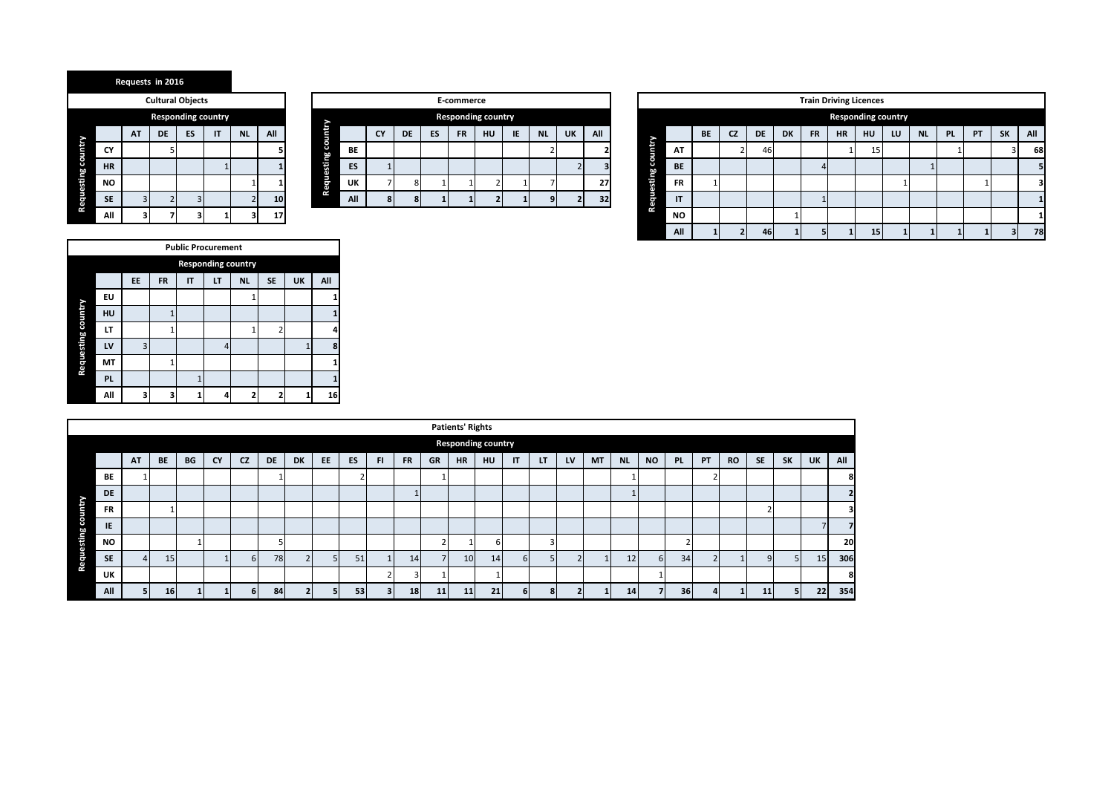| <b>Requests in 2016</b> |  |  |  |
|-------------------------|--|--|--|
|-------------------------|--|--|--|

|                    |           |    |    | <b>Cultural Objects</b>   |    |           |     |
|--------------------|-----------|----|----|---------------------------|----|-----------|-----|
|                    |           |    |    | <b>Responding country</b> |    |           |     |
|                    |           | AT | DE | ES                        | IT | <b>NL</b> | All |
|                    | CY        |    | 5  |                           |    |           |     |
|                    | <b>HR</b> |    |    |                           |    |           |     |
|                    | <b>NO</b> |    |    |                           |    |           |     |
| Requesting country | <b>SE</b> | 3  |    | 3                         |    |           | 10  |
|                    | Αl        |    |    |                           |    |           |     |

|                    | E-commerce                                                        |   |   |  |  |  |  |   |  |    |  |  |  |  |  |
|--------------------|-------------------------------------------------------------------|---|---|--|--|--|--|---|--|----|--|--|--|--|--|
|                    | <b>Responding country</b>                                         |   |   |  |  |  |  |   |  |    |  |  |  |  |  |
| Requesting country | All<br>ES<br>IE<br>DE<br><b>FR</b><br>HU<br><b>NL</b><br>CY<br>UK |   |   |  |  |  |  |   |  |    |  |  |  |  |  |
|                    | <b>BE</b>                                                         |   |   |  |  |  |  |   |  |    |  |  |  |  |  |
|                    | ES                                                                |   |   |  |  |  |  |   |  |    |  |  |  |  |  |
|                    | UK                                                                |   | 8 |  |  |  |  |   |  | 27 |  |  |  |  |  |
|                    | All                                                               | 8 | 8 |  |  |  |  | q |  | 32 |  |  |  |  |  |

|           | <b>Cultural Objects</b> |    |                    |     |                 |               |                                                                                         |  |  |  | E-commerce |                    |  |  |  |      |  |          |              |           |           |      |           |           |           | <b>Train Driving Licences</b> |                           |           |           |           |                |     |
|-----------|-------------------------|----|--------------------|-----|-----------------|---------------|-----------------------------------------------------------------------------------------|--|--|--|------------|--------------------|--|--|--|------|--|----------|--------------|-----------|-----------|------|-----------|-----------|-----------|-------------------------------|---------------------------|-----------|-----------|-----------|----------------|-----|
|           |                         |    | Responding country |     |                 | -             |                                                                                         |  |  |  |            | Responding country |  |  |  |      |  |          |              |           |           |      |           |           |           |                               | <b>Responding country</b> |           |           |           |                |     |
| <b>AT</b> | <b>DE</b>               | ES | $\mathsf{I}$       | NL. | All             | Ħ<br>U        | HU<br><b>IE</b><br>All<br><b>UK</b><br><b>NL</b><br>ES<br><b>CY</b><br><b>FR</b><br>DE. |  |  |  |            |                    |  |  |  |      |  |          |              | <b>BE</b> | <b>CZ</b> | DE . | <b>DK</b> | <b>FR</b> | <b>HR</b> | <b>HU</b>                     | LU                        | <b>NL</b> | <b>PL</b> | <b>PT</b> | <b>SK</b>      | All |
|           |                         |    |                    |     |                 | S.<br>hň<br>۳ | BE                                                                                      |  |  |  |            |                    |  |  |  |      |  | ij       | AT           |           |           | 46   |           |           |           | 15                            |                           |           |           |           | <b>J</b>       | 68  |
|           |                         |    |                    |     |                 | 意             | ES                                                                                      |  |  |  |            |                    |  |  |  |      |  | S.<br>hn | <b>BE</b>    |           |           |      |           |           |           |                               |                           |           |           |           |                |     |
|           |                         |    |                    |     |                 | Ë.            | <b>UK</b>                                                                               |  |  |  |            |                    |  |  |  | -271 |  | a.       | <b>FR</b>    |           |           |      |           |           |           |                               |                           |           |           |           |                |     |
|           |                         |    |                    |     | 10 <sup>1</sup> | œ             | All                                                                                     |  |  |  |            |                    |  |  |  | 32   |  | le.<br>S | $\mathsf{I}$ |           |           |      |           |           |           |                               |                           |           |           |           |                |     |
|           |                         |    |                    |     | 17              |               |                                                                                         |  |  |  |            |                    |  |  |  |      |  | œ        | <b>NO</b>    |           |           |      |           |           |           |                               |                           |           |           |           |                |     |
|           |                         |    |                    |     |                 |               |                                                                                         |  |  |  |            |                    |  |  |  |      |  |          | All          |           |           | 46   |           |           |           | 15                            |                           |           |           |           | 3 <sub>1</sub> | 78  |

|                    |           |    |              | <b>Public Procurement</b> |                           |           |                |    |     |
|--------------------|-----------|----|--------------|---------------------------|---------------------------|-----------|----------------|----|-----|
|                    |           |    |              |                           | <b>Responding country</b> |           |                |    |     |
|                    |           | EE | <b>FR</b>    | IT                        | LT                        | <b>NL</b> | <b>SE</b>      | UK | All |
|                    | EU        |    |              |                           |                           |           |                |    |     |
| Requesting country | HU        |    | 1            |                           |                           |           |                |    |     |
|                    | LT        |    | $\mathbf{1}$ |                           |                           |           | $\overline{2}$ |    | 4   |
|                    | LV        | 3  |              |                           | 4                         |           |                |    | 8   |
|                    | MT        |    | 1            |                           |                           |           |                |    |     |
|                    | <b>PL</b> |    |              | 1                         |                           |           |                |    |     |
|                    | All       | 3  | 3            |                           | 4                         |           | 2              |    | 16  |

|           |           |                 |    |           |          |    |           |    |    |                |           |    | <b>Patients' Rights</b>   |    |    |    |    |           |           |           |                   |              |           |           |                |           |     |
|-----------|-----------|-----------------|----|-----------|----------|----|-----------|----|----|----------------|-----------|----|---------------------------|----|----|----|----|-----------|-----------|-----------|-------------------|--------------|-----------|-----------|----------------|-----------|-----|
|           |           |                 |    |           |          |    |           |    |    |                |           |    | <b>Responding country</b> |    |    |    |    |           |           |           |                   |              |           |           |                |           |     |
|           | <b>AT</b> | BE              | BG | <b>CY</b> | CZ       | DE | <b>DK</b> | EE | ES | <b>FI</b>      | <b>FR</b> | GR | <b>HR</b>                 | HU | IT | LT | LV | <b>MT</b> | <b>NL</b> | <b>NO</b> | PL.               | PT           | <b>RO</b> | <b>SE</b> | <b>SK</b>      | <b>UK</b> | All |
| <b>BE</b> |           |                 |    |           |          |    |           |    |    |                |           |    |                           |    |    |    |    |           |           |           |                   |              |           |           |                |           | 8   |
| DE        |           |                 |    |           |          |    |           |    |    |                |           |    |                           |    |    |    |    |           |           |           |                   |              |           |           |                |           |     |
| <b>FR</b> |           |                 |    |           |          |    |           |    |    |                |           |    |                           |    |    |    |    |           |           |           |                   |              |           |           |                |           |     |
| IE        |           |                 |    |           |          |    |           |    |    |                |           |    |                           |    |    |    |    |           |           |           |                   |              |           |           |                |           |     |
| <b>NO</b> |           |                 |    |           |          |    |           |    |    |                |           |    |                           | h  |    |    |    |           |           |           | $\mathbf{\hat{}}$ |              |           |           |                |           | 20  |
| <b>SE</b> |           | 15              |    |           | $6 \mid$ | 78 |           |    | 51 |                | 14        |    | 10 <sup>1</sup>           | 14 | 6  |    |    |           | 12        | 6         | 34                | $\mathbf{r}$ |           | $\Omega$  | 5 <sup>1</sup> | <b>15</b> | 306 |
| UK        |           |                 |    |           |          |    |           |    |    | $\mathbf{r}$   |           |    |                           |    |    |    |    |           |           |           |                   |              |           |           |                |           | 8   |
| All       |           | 16 <sup>1</sup> |    |           | 6        | 84 |           |    | 53 | 3 <sup>1</sup> | 18        | 11 | 11                        | 21 |    | 8  |    |           | 14        |           | 36 <sup>l</sup>   |              |           | 11        | 5              | 22        | 354 |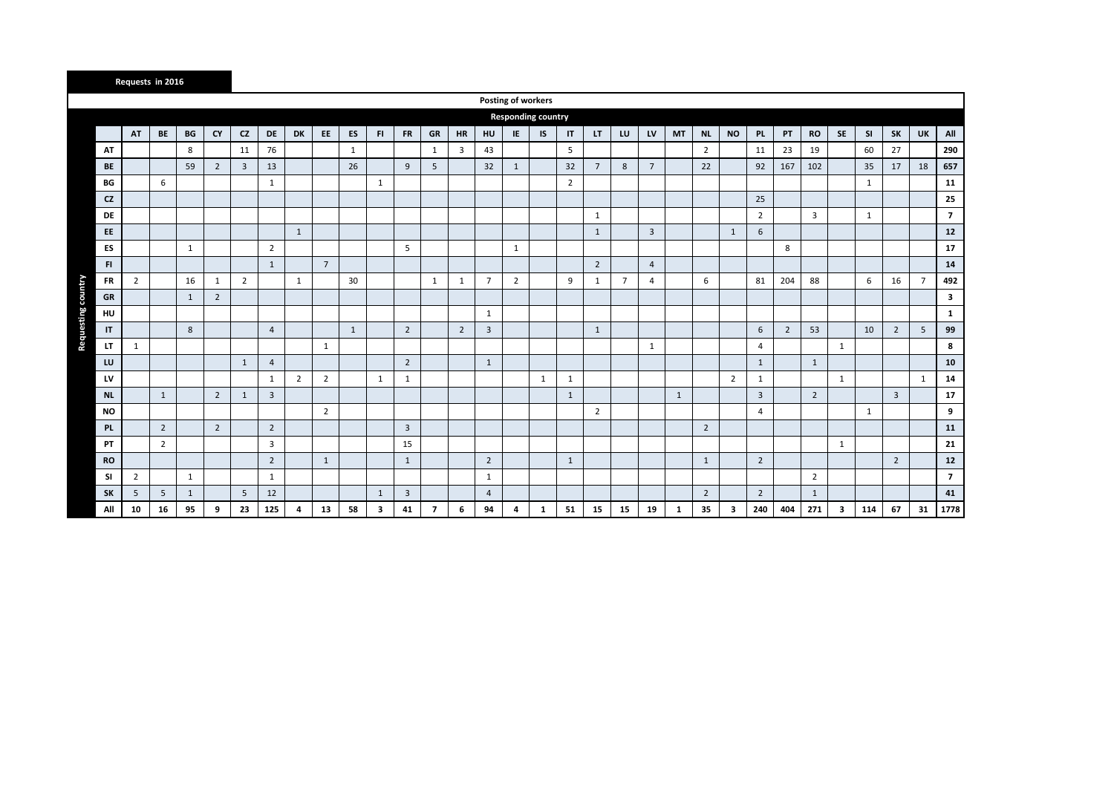|           |                | Requests in 2016 |              |                |                |                |                |                |    |              |                |                |                |                |                           |              |                |                 |                |                 |              |                |                |                 |                |                |              |              |                |                |                |
|-----------|----------------|------------------|--------------|----------------|----------------|----------------|----------------|----------------|----|--------------|----------------|----------------|----------------|----------------|---------------------------|--------------|----------------|-----------------|----------------|-----------------|--------------|----------------|----------------|-----------------|----------------|----------------|--------------|--------------|----------------|----------------|----------------|
|           |                |                  |              |                |                |                |                |                |    |              |                |                |                |                | Posting of workers        |              |                |                 |                |                 |              |                |                |                 |                |                |              |              |                |                |                |
|           |                |                  |              |                |                |                |                |                |    |              |                |                |                |                | <b>Responding country</b> |              |                |                 |                |                 |              |                |                |                 |                |                |              |              |                |                |                |
|           | AT             | BE               | BG           | <b>CY</b>      | CZ             | DE             | DK             | EE             | ES | FI.          | <b>FR</b>      | GR             | <b>HR</b>      | HU             | IE                        | IS           | IT             | LT.             | LU             | LV              | <b>MT</b>    | <b>NL</b>      | <b>NO</b>      | <b>PL</b>       | PT             | <b>RO</b>      | <b>SE</b>    | <b>SI</b>    | <b>SK</b>      | <b>UK</b>      | All            |
| AT        |                |                  | 8            |                | 11             | 76             |                |                | 1  |              |                | $\mathbf{1}$   | 3              | 43             |                           |              | 5              |                 |                |                 |              | $\overline{2}$ |                | 11              | 23             | 19             |              | 60           | 27             |                | 290            |
| <b>BE</b> |                |                  | 59           | $\overline{2}$ | $\overline{3}$ | 13             |                |                | 26 |              | 9              | 5              |                | 32             | $\mathbf{1}$              |              | 32             | $7\overline{ }$ | 8              | $7\overline{ }$ |              | 22             |                | 92              | 167            | 102            |              | 35           | 17             | 18             | 657            |
| BG        |                | 6                |              |                |                | 1              |                |                |    | 1            |                |                |                |                |                           |              | $\overline{2}$ |                 |                |                 |              |                |                |                 |                |                |              | 1            |                |                | 11             |
| <b>CZ</b> |                |                  |              |                |                |                |                |                |    |              |                |                |                |                |                           |              |                |                 |                |                 |              |                |                | 25              |                |                |              |              |                |                | 25             |
| DE        |                |                  |              |                |                |                |                |                |    |              |                |                |                |                |                           |              |                | $\mathbf{1}$    |                |                 |              |                |                | $\overline{2}$  |                | $\overline{3}$ |              | $\mathbf{1}$ |                |                | $\overline{7}$ |
| EE.       |                |                  |              |                |                |                | $\mathbf{1}$   |                |    |              |                |                |                |                |                           |              |                | $\mathbf{1}$    |                | $\overline{3}$  |              |                | $\mathbf{1}$   | 6               |                |                |              |              |                |                | 12             |
| ES        |                |                  | $\mathbf{1}$ |                |                | $\overline{2}$ |                |                |    |              | 5              |                |                |                | $\mathbf{1}$              |              |                |                 |                |                 |              |                |                |                 | 8              |                |              |              |                |                | 17             |
| FI.       |                |                  |              |                |                | $\mathbf{1}$   |                | $7^{\circ}$    |    |              |                |                |                |                |                           |              |                | $\overline{2}$  |                | $\overline{4}$  |              |                |                |                 |                |                |              |              |                |                | 14             |
| FR        | $\overline{2}$ |                  | 16           | $\mathbf{1}$   | $\overline{2}$ |                | 1              |                | 30 |              |                | 1              | $\mathbf{1}$   | $\overline{7}$ | $\overline{2}$            |              | 9              | 1               | $\overline{7}$ | $\overline{4}$  |              | 6              |                | 81              | 204            | 88             |              | 6            | 16             | $\overline{7}$ | 492            |
| GR        |                |                  | $\mathbf{1}$ | $\overline{2}$ |                |                |                |                |    |              |                |                |                |                |                           |              |                |                 |                |                 |              |                |                |                 |                |                |              |              |                |                | 3              |
| HU        |                |                  |              |                |                |                |                |                |    |              |                |                |                | $\mathbf{1}$   |                           |              |                |                 |                |                 |              |                |                |                 |                |                |              |              |                |                | $\mathbf{1}$   |
| IT        |                |                  | 8            |                |                | $\overline{4}$ |                |                | 1  |              | $\overline{2}$ |                | $\overline{2}$ | $\overline{3}$ |                           |              |                | 1               |                |                 |              |                |                | $6\phantom{1}6$ | $\overline{2}$ | 53             |              | 10           | $\overline{2}$ | 5              | 99             |
| LT        | $\mathbf{1}$   |                  |              |                |                |                |                | $\mathbf{1}$   |    |              |                |                |                |                |                           |              |                |                 |                | $\mathbf{1}$    |              |                |                | $\overline{4}$  |                |                | $\mathbf{1}$ |              |                |                | 8              |
| LU        |                |                  |              |                | $\mathbf{1}$   | $\overline{4}$ |                |                |    |              | $\overline{2}$ |                |                | $\mathbf{1}$   |                           |              |                |                 |                |                 |              |                |                | $\mathbf{1}$    |                | $\mathbf{1}$   |              |              |                |                | 10             |
| LV        |                |                  |              |                |                | 1              | $\overline{2}$ | $\overline{2}$ |    | 1            | 1              |                |                |                |                           | $\mathbf{1}$ | 1              |                 |                |                 |              |                | $\overline{2}$ | 1               |                |                | 1            |              |                | $\mathbf{1}$   | 14             |
| <b>NL</b> |                | $\mathbf{1}$     |              | $\overline{2}$ | $\mathbf{1}$   | $\overline{3}$ |                |                |    |              |                |                |                |                |                           |              | $\mathbf{1}$   |                 |                |                 | $\mathbf{1}$ |                |                | $\overline{3}$  |                | $\overline{2}$ |              |              | $\overline{3}$ |                | 17             |
| <b>NO</b> |                |                  |              |                |                |                |                | $\overline{2}$ |    |              |                |                |                |                |                           |              |                | $\overline{2}$  |                |                 |              |                |                | $\overline{4}$  |                |                |              | $\mathbf{1}$ |                |                | 9              |
| <b>PL</b> |                | $\overline{2}$   |              | $\overline{2}$ |                | $\overline{2}$ |                |                |    |              | 3              |                |                |                |                           |              |                |                 |                |                 |              | $\overline{2}$ |                |                 |                |                |              |              |                |                | 11             |
| <b>PT</b> |                | $\overline{2}$   |              |                |                | 3              |                |                |    |              | 15             |                |                |                |                           |              |                |                 |                |                 |              |                |                |                 |                |                | $\mathbf{1}$ |              |                |                | 21             |
| <b>RO</b> |                |                  |              |                |                | $\overline{2}$ |                | $\mathbf{1}$   |    |              | $\mathbf{1}$   |                |                | $\overline{2}$ |                           |              | $\mathbf{1}$   |                 |                |                 |              | $\mathbf{1}$   |                | $\overline{2}$  |                |                |              |              | $\overline{2}$ |                | $12$           |
| <b>SI</b> | $\overline{2}$ |                  | $\mathbf{1}$ |                |                | 1              |                |                |    |              |                |                |                | 1              |                           |              |                |                 |                |                 |              |                |                |                 |                | $\overline{2}$ |              |              |                |                | $\overline{7}$ |
| <b>SK</b> | 5              | 5                | $\mathbf{1}$ |                | 5              | 12             |                |                |    | $\mathbf{1}$ | 3              |                |                | $\overline{4}$ |                           |              |                |                 |                |                 |              | $\overline{2}$ |                | $\overline{2}$  |                | $\mathbf{1}$   |              |              |                |                | 41             |
| All       | 10             | 16               | 95           | 9              | 23             | 125            | 4              | 13             | 58 | 3            | 41             | $\overline{7}$ | 6              | 94             | 4                         | $\mathbf{1}$ | 51             | 15              | 15             | 19              | $\mathbf{1}$ | 35             | 3              | 240             | 404            | 271            | $\mathbf{3}$ | 114          | 67             | 31             | 1778           |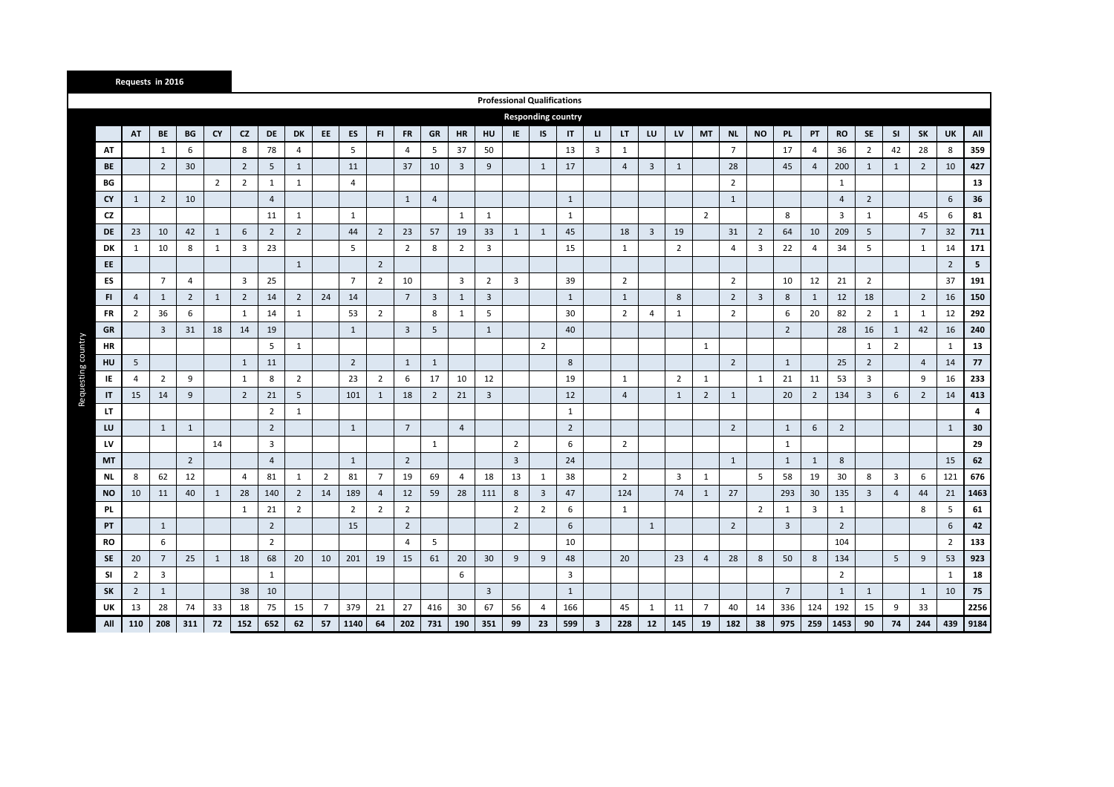|                          |                | Requests in 2016 |                |                |                         |                |                |                |                |                |                 |                         |                         |                |                                    |                |                           |                         |                |                |                |                |                |                |                 |                |                         |                |                |                 |                |      |
|--------------------------|----------------|------------------|----------------|----------------|-------------------------|----------------|----------------|----------------|----------------|----------------|-----------------|-------------------------|-------------------------|----------------|------------------------------------|----------------|---------------------------|-------------------------|----------------|----------------|----------------|----------------|----------------|----------------|-----------------|----------------|-------------------------|----------------|----------------|-----------------|----------------|------|
|                          |                |                  |                |                |                         |                |                |                |                |                |                 |                         |                         |                | <b>Professional Qualifications</b> |                |                           |                         |                |                |                |                |                |                |                 |                |                         |                |                |                 |                |      |
|                          |                |                  |                |                |                         |                |                |                |                |                |                 |                         |                         |                |                                    |                | <b>Responding country</b> |                         |                |                |                |                |                |                |                 |                |                         |                |                |                 |                |      |
|                          | AT             | <b>BE</b>        | BG             | <b>CY</b>      | CZ                      | <b>DE</b>      | DK             | EE             | ES             | FI.            | <b>FR</b>       | <b>GR</b>               | <b>HR</b>               | HU             | IE                                 | IS             | $\mathsf{I}$              | $\mathbf{u}$            | LT.            | LU             | LV             | <b>MT</b>      | <b>NL</b>      | <b>NO</b>      | PL.             | PT             | <b>RO</b>               | SE             | <b>SI</b>      | SK              | <b>UK</b>      | All  |
| AT                       |                | $\mathbf{1}$     | 6              |                | 8                       | 78             | 4              |                | 5              |                | 4               | 5                       | 37                      | 50             |                                    |                | 13                        | $\overline{\mathbf{3}}$ | $\mathbf{1}$   |                |                |                | $\overline{7}$ |                | 17              | $\overline{4}$ | 36                      | $\overline{2}$ | 42             | 28              | 8              | 359  |
| <b>BE</b>                |                | $\overline{2}$   | 30             |                | $\overline{2}$          | 5              | $\mathbf{1}$   |                | 11             |                | 37              | 10                      | $\overline{\mathbf{3}}$ | 9              |                                    | 1              | 17                        |                         | $\overline{4}$ | $\overline{3}$ | $\mathbf{1}$   |                | 28             |                | 45              | $\overline{4}$ | 200                     | 1              | 1              | $\overline{2}$  | 10             | 427  |
| BG                       |                |                  |                | $\overline{2}$ | $\overline{2}$          | 1              | $\mathbf{1}$   |                | $\overline{4}$ |                |                 |                         |                         |                |                                    |                |                           |                         |                |                |                |                | $\overline{2}$ |                |                 |                | 1                       |                |                |                 |                | 13   |
| <b>CY</b>                | $\mathbf{1}$   | $\overline{2}$   | 10             |                |                         | $\overline{4}$ |                |                |                |                | 1               | $\overline{4}$          |                         |                |                                    |                | 1                         |                         |                |                |                |                | $\mathbf{1}$   |                |                 |                | $\overline{4}$          | $\overline{2}$ |                |                 | 6              | 36   |
| CZ                       |                |                  |                |                |                         | 11             | $\mathbf{1}$   |                | 1              |                |                 |                         | 1                       | 1              |                                    |                | 1                         |                         |                |                |                | $\overline{2}$ |                |                | 8               |                | $\overline{\mathbf{3}}$ | 1              |                | 45              | 6              | 81   |
| DE                       | 23             | 10               | 42             | $\mathbf{1}$   | 6                       | $\overline{2}$ | $\overline{2}$ |                | 44             | $\overline{2}$ | 23              | 57                      | 19                      | 33             | $\mathbf{1}$                       | 1              | 45                        |                         | 18             | $\overline{3}$ | 19             |                | 31             | $\overline{2}$ | 64              | 10             | 209                     | 5              |                | $7\overline{ }$ | 32             | 711  |
| DK                       | $\mathbf{1}$   | 10               | 8              | $\mathbf{1}$   | $\overline{\mathbf{3}}$ | 23             |                |                | 5              |                | $\overline{2}$  | 8                       | $\overline{2}$          | 3              |                                    |                | 15                        |                         | $\mathbf{1}$   |                | $\overline{2}$ |                | $\overline{4}$ | 3              | 22              | $\overline{4}$ | 34                      | 5              |                | $\mathbf{1}$    | 14             | 171  |
| EE                       |                |                  |                |                |                         |                | $\mathbf{1}$   |                |                | $\overline{2}$ |                 |                         |                         |                |                                    |                |                           |                         |                |                |                |                |                |                |                 |                |                         |                |                |                 | $\overline{2}$ | 5    |
| ES                       |                | $\overline{7}$   | $\overline{4}$ |                | 3                       | 25             |                |                | $\overline{7}$ | $\overline{2}$ | 10              |                         | $\overline{3}$          | $\overline{2}$ | 3                                  |                | 39                        |                         | $\overline{2}$ |                |                |                | $\overline{2}$ |                | 10              | 12             | 21                      | $\overline{2}$ |                |                 | 37             | 191  |
| FI                       | $\overline{4}$ | $\mathbf{1}$     | $\overline{2}$ | $\mathbf{1}$   | $\overline{2}$          | 14             | $\overline{2}$ | 24             | 14             |                | $7\overline{ }$ | $\overline{\mathbf{3}}$ | 1                       | 3              |                                    |                | $\mathbf{1}$              |                         | $\mathbf{1}$   |                | 8              |                | $\overline{2}$ | $\overline{3}$ | 8               | 1              | 12                      | 18             |                | $\overline{2}$  | 16             | 150  |
| <b>FR</b>                | $\overline{2}$ | 36               | 6              |                | $\mathbf{1}$            | 14             | $\mathbf{1}$   |                | 53             | $\overline{2}$ |                 | 8                       | $\mathbf{1}$            | 5              |                                    |                | 30                        |                         | $\overline{2}$ | $\overline{4}$ | $\mathbf{1}$   |                | $\overline{2}$ |                | 6               | 20             | 82                      | $\overline{2}$ | $\mathbf{1}$   | $\mathbf{1}$    | 12             | 292  |
| <b>GR</b>                |                | $\overline{3}$   | 31             | 18             | 14                      | 19             |                |                | $\mathbf{1}$   |                | 3               | 5                       |                         | $\mathbf{1}$   |                                    |                | 40                        |                         |                |                |                |                |                |                | $\overline{2}$  |                | 28                      | 16             | 1              | 42              | 16             | 240  |
| Requesting country<br>HR |                |                  |                |                |                         | 5              | $\mathbf{1}$   |                |                |                |                 |                         |                         |                |                                    | $\overline{2}$ |                           |                         |                |                |                | 1              |                |                |                 |                |                         | 1              | $\overline{2}$ |                 | 1              | 13   |
| HU                       | 5              |                  |                |                | $\mathbf{1}$            | 11             |                |                | $\overline{2}$ |                | $\mathbf{1}$    | $\mathbf{1}$            |                         |                |                                    |                | 8                         |                         |                |                |                |                | $\overline{2}$ |                | $\mathbf{1}$    |                | 25                      | $\overline{2}$ |                | $\overline{4}$  | 14             | 77   |
| IE                       | $\overline{4}$ | $\overline{2}$   | 9              |                | 1                       | 8              | $\overline{2}$ |                | 23             | $\overline{2}$ | 6               | 17                      | 10                      | 12             |                                    |                | 19                        |                         | 1              |                | $\overline{2}$ | $\mathbf{1}$   |                | 1              | 21              | 11             | 53                      | $\overline{3}$ |                | 9               | 16             | 233  |
| IT                       | 15             | 14               | 9              |                | $\overline{2}$          | 21             | 5              |                | 101            | $\mathbf{1}$   | 18              | $\overline{2}$          | 21                      | 3              |                                    |                | 12                        |                         | $\overline{4}$ |                | $\mathbf{1}$   | $\overline{2}$ | $\mathbf{1}$   |                | 20              | $\overline{2}$ | 134                     | 3              | 6              | $\overline{2}$  | 14             | 413  |
| LT                       |                |                  |                |                |                         | $\overline{2}$ | 1              |                |                |                |                 |                         |                         |                |                                    |                | $\mathbf{1}$              |                         |                |                |                |                |                |                |                 |                |                         |                |                |                 |                | 4    |
| LU                       |                | 1                | 1              |                |                         | $\overline{2}$ |                |                | $\mathbf{1}$   |                | $7\overline{ }$ |                         | $\overline{4}$          |                |                                    |                | $\overline{2}$            |                         |                |                |                |                | $\overline{2}$ |                | $\mathbf{1}$    | 6              | $\overline{2}$          |                |                |                 | $\mathbf{1}$   | 30   |
| LV                       |                |                  |                | 14             |                         | 3              |                |                |                |                |                 | 1                       |                         |                | $\overline{2}$                     |                | 6                         |                         | $\overline{2}$ |                |                |                |                |                | 1               |                |                         |                |                |                 |                | 29   |
| MT                       |                |                  | $\overline{2}$ |                |                         | $\overline{4}$ |                |                | $\mathbf{1}$   |                | $\overline{2}$  |                         |                         |                | $\overline{3}$                     |                | 24                        |                         |                |                |                |                | 1              |                | 1               | 1              | 8                       |                |                |                 | 15             | 62   |
| NL                       | 8              | 62               | 12             |                | 4                       | 81             | $\mathbf{1}$   | $\overline{2}$ | 81             | $\overline{7}$ | 19              | 69                      | $\overline{4}$          | 18             | 13                                 | 1              | 38                        |                         | $\overline{2}$ |                | 3              | $\mathbf{1}$   |                | 5              | 58              | 19             | 30                      | 8              | 3              | 6               | 121            | 676  |
| <b>NO</b>                | 10             | 11               | 40             | $\mathbf{1}$   | 28                      | 140            | $\overline{2}$ | 14             | 189            | $\overline{4}$ | 12              | 59                      | 28                      | 111            | 8                                  | $\overline{3}$ | 47                        |                         | 124            |                | 74             | $\mathbf{1}$   | 27             |                | 293             | 30             | 135                     | $\overline{3}$ | $\overline{4}$ | 44              | 21             | 1463 |
| <b>PL</b>                |                |                  |                |                | 1                       | 21             | $\overline{2}$ |                | $\overline{2}$ | $\overline{2}$ | $\overline{2}$  |                         |                         |                | $\overline{2}$                     | $\overline{2}$ | 6                         |                         | $\mathbf{1}$   |                |                |                |                | $\overline{2}$ | 1               | $\overline{3}$ | $\mathbf{1}$            |                |                | 8               | 5              | 61   |
| PT                       |                | $\mathbf{1}$     |                |                |                         | $\overline{2}$ |                |                | 15             |                | $\overline{2}$  |                         |                         |                | $\overline{2}$                     |                | 6                         |                         |                | $\mathbf{1}$   |                |                | $\overline{2}$ |                | $\overline{3}$  |                | $\overline{2}$          |                |                |                 | 6              | 42   |
| <b>RO</b>                |                | 6                |                |                |                         | $\overline{2}$ |                |                |                |                | 4               | 5                       |                         |                |                                    |                | 10                        |                         |                |                |                |                |                |                |                 |                | 104                     |                |                |                 | $\overline{2}$ | 133  |
| <b>SE</b>                | 20             | $7\overline{ }$  | 25             | $\mathbf{1}$   | 18                      | 68             | 20             | 10             | 201            | 19             | 15              | 61                      | 20                      | 30             | 9                                  | 9              | 48                        |                         | 20             |                | 23             | $\overline{4}$ | 28             | 8              | 50              | 8              | 134                     |                | 5              | 9               | 53             | 923  |
| -SI                      | $\overline{2}$ | 3                |                |                |                         | $\mathbf{1}$   |                |                |                |                |                 |                         | 6                       |                |                                    |                | 3                         |                         |                |                |                |                |                |                |                 |                | $\overline{2}$          |                |                |                 | $\mathbf{1}$   | 18   |
| <b>SK</b>                | $\overline{2}$ | $\mathbf{1}$     |                |                | 38                      | 10             |                |                |                |                |                 |                         |                         | $\overline{3}$ |                                    |                | 1                         |                         |                |                |                |                |                |                | $7\overline{ }$ |                | 1                       | $\mathbf{1}$   |                | $\mathbf{1}$    | 10             | 75   |
| UK                       | 13             | 28               | 74             | 33             | 18                      | 75             | 15             | $\overline{7}$ | 379            | 21             | 27              | 416                     | 30                      | 67             | 56                                 | $\overline{4}$ | 166                       |                         | 45             | 1              | 11             | $\overline{7}$ | 40             | 14             | 336             | 124            | 192                     | 15             | 9              | 33              |                | 2256 |
| All                      | 110            | 208              | 311            | 72             | 152                     | 652            | 62             | 57             | 1140           | 64             | 202             | 731                     | 190                     | 351            | 99                                 | 23             | 599                       | $\overline{\mathbf{3}}$ | 228            | $12$           | 145            | 19             | 182            | 38             | 975             | 259            | 1453                    | 90             | 74             | 244             | 439            | 9184 |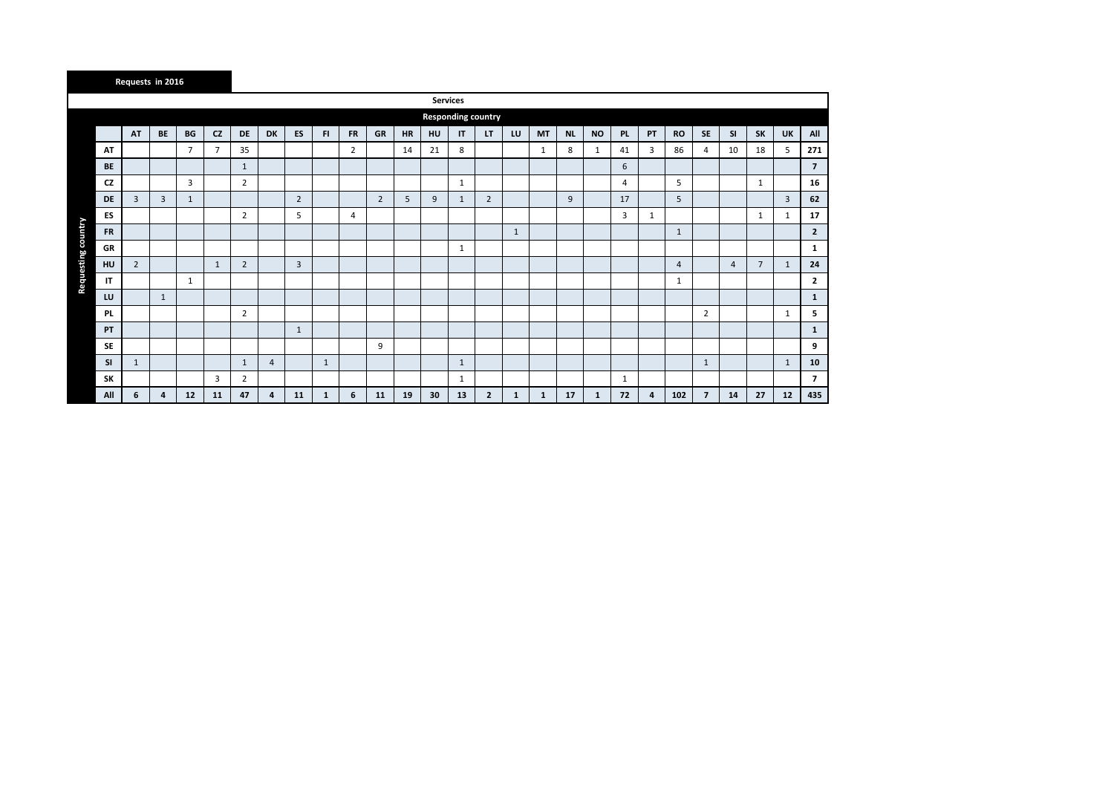|                                 | Requests in 2016 |              |                |                |                |                |                |              |                |                |           |    |                           |                |              |              |           |           |     |    |                |                |                |                |                |                |
|---------------------------------|------------------|--------------|----------------|----------------|----------------|----------------|----------------|--------------|----------------|----------------|-----------|----|---------------------------|----------------|--------------|--------------|-----------|-----------|-----|----|----------------|----------------|----------------|----------------|----------------|----------------|
|                                 |                  |              |                |                |                |                |                |              |                |                |           |    | <b>Services</b>           |                |              |              |           |           |     |    |                |                |                |                |                |                |
|                                 |                  |              |                |                |                |                |                |              |                |                |           |    | <b>Responding country</b> |                |              |              |           |           |     |    |                |                |                |                |                |                |
|                                 | AT               | BE           | BG             | CZ             | DE             | <b>DK</b>      | ES             | FI.          | <b>FR</b>      | GR             | <b>HR</b> | HU | $\mathsf{I}\mathsf{T}$    | LT             | LU           | <b>MT</b>    | <b>NL</b> | <b>NO</b> | PL. | PT | <b>RO</b>      | <b>SE</b>      | <b>SI</b>      | <b>SK</b>      | UK             | All            |
| AT                              |                  |              | $\overline{7}$ | $\overline{7}$ | 35             |                |                |              | $\overline{2}$ |                | 14        | 21 | 8                         |                |              | 1            | 8         | 1         | 41  | 3  | 86             | 4              | 10             | 18             | 5              | 271            |
| <b>BE</b>                       |                  |              |                |                | 1              |                |                |              |                |                |           |    |                           |                |              |              |           |           | 6   |    |                |                |                |                |                | $\overline{7}$ |
| CZ                              |                  |              | 3              |                | 2              |                |                |              |                |                |           |    | $\mathbf{1}$              |                |              |              |           |           | 4   |    | 5              |                |                | 1              |                | 16             |
| <b>DE</b>                       | 3                | 3            | 1              |                |                |                | $\overline{2}$ |              |                | $\overline{2}$ | 5         | 9  | $\mathbf{1}$              | $\overline{2}$ |              |              | 9         |           | 17  |    | 5              |                |                |                | $\overline{3}$ | 62             |
| ES                              |                  |              |                |                | $\overline{2}$ |                | 5              |              | 4              |                |           |    |                           |                |              |              |           |           | 3   | 1  |                |                |                | 1              | 1              | 17             |
| Requesting country<br><b>FR</b> |                  |              |                |                |                |                |                |              |                |                |           |    |                           |                | $\mathbf{1}$ |              |           |           |     |    | 1              |                |                |                |                | $\mathbf{2}$   |
| GR                              |                  |              |                |                |                |                |                |              |                |                |           |    | $\mathbf{1}$              |                |              |              |           |           |     |    |                |                |                |                |                | 1              |
| HU                              | $\overline{2}$   |              |                | $\mathbf{1}$   | $\overline{2}$ |                | 3              |              |                |                |           |    |                           |                |              |              |           |           |     |    | $\overline{4}$ |                | $\overline{4}$ | $\overline{7}$ | 1              | 24             |
| IT                              |                  |              | 1              |                |                |                |                |              |                |                |           |    |                           |                |              |              |           |           |     |    | 1              |                |                |                |                | $\mathbf{2}$   |
| LU                              |                  | $\mathbf{1}$ |                |                |                |                |                |              |                |                |           |    |                           |                |              |              |           |           |     |    |                |                |                |                |                | $\mathbf{1}$   |
| PL                              |                  |              |                |                | 2              |                |                |              |                |                |           |    |                           |                |              |              |           |           |     |    |                | $\overline{2}$ |                |                | 1              | 5              |
| PT                              |                  |              |                |                |                |                | $\mathbf{1}$   |              |                |                |           |    |                           |                |              |              |           |           |     |    |                |                |                |                |                | $\mathbf{1}$   |
| <b>SE</b>                       |                  |              |                |                |                |                |                |              |                | 9              |           |    |                           |                |              |              |           |           |     |    |                |                |                |                |                | 9              |
| <b>SI</b>                       | $\mathbf{1}$     |              |                |                | 1              | $\overline{4}$ |                | 1            |                |                |           |    | $\mathbf{1}$              |                |              |              |           |           |     |    |                | $\mathbf{1}$   |                |                | $\mathbf{1}$   | 10             |
| <b>SK</b>                       |                  |              |                | 3              | $\overline{2}$ |                |                |              |                |                |           |    | $\mathbf{1}$              |                |              |              |           |           | 1   |    |                |                |                |                |                | $\overline{7}$ |
| All                             | 6                | 4            | 12             | 11             | 47             | $\overline{a}$ | 11             | $\mathbf{1}$ | 6              | 11             | 19        | 30 | 13                        | $\overline{2}$ | 1            | $\mathbf{1}$ | 17        | 1         | 72  | 4  | 102            | $\overline{7}$ | 14             | 27             | 12             | 435            |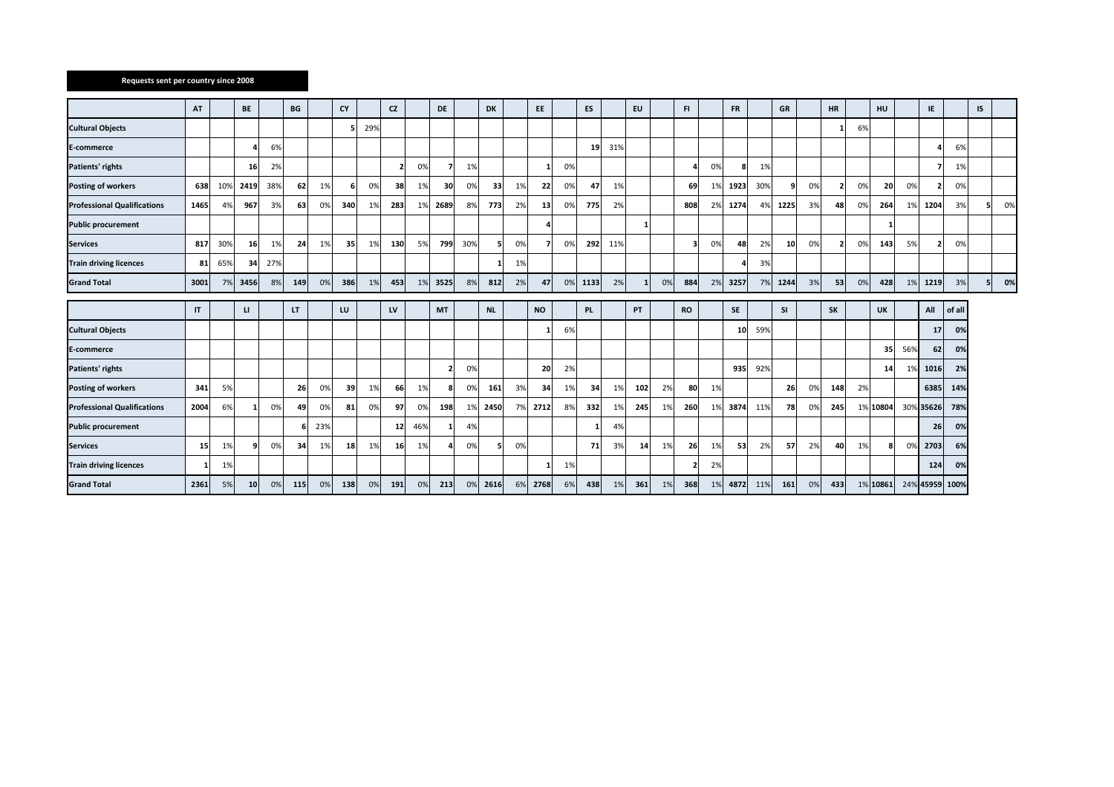### **Requests sent per country since 2008**

|                                    | AT           |     | BE           |     | BG  |            | <b>CY</b> |     | <b>CZ</b> |     | <b>DE</b>      |     | <b>DK</b> |    | EE.             |    | <b>ES</b> |     | <b>EU</b> |    | F1             |    | <b>FR</b> |     | <b>GR</b> |    | <b>HR</b>      |    | HU        |     | IE.       |        | IS |    |
|------------------------------------|--------------|-----|--------------|-----|-----|------------|-----------|-----|-----------|-----|----------------|-----|-----------|----|-----------------|----|-----------|-----|-----------|----|----------------|----|-----------|-----|-----------|----|----------------|----|-----------|-----|-----------|--------|----|----|
|                                    |              |     |              |     |     |            |           |     |           |     |                |     |           |    |                 |    |           |     |           |    |                |    |           |     |           |    |                |    |           |     |           |        |    |    |
| <b>Cultural Objects</b>            |              |     |              |     |     |            |           | 29% |           |     |                |     |           |    |                 |    |           |     |           |    |                |    |           |     |           |    | $\mathbf{1}$   | 6% |           |     |           |        |    |    |
| <b>E-commerce</b>                  |              |     |              | 6%  |     |            |           |     |           |     |                |     |           |    |                 |    | 19        | 31% |           |    |                |    |           |     |           |    |                |    |           |     |           | 6%     |    |    |
| Patients' rights                   |              |     | 16           | 2%  |     |            |           |     |           | 0%  |                | 1%  |           |    | $\mathbf{1}$    | 0% |           |     |           |    |                | 0% | 8         | 1%  |           |    |                |    |           |     |           | 1%     |    |    |
| <b>Posting of workers</b>          | 638          | 109 | 2419         | 38% | 62  | 1%         | -6        | 0%  | 38        | 1%  | 30             | 0%  | 33        | 1% | 22              | 0% | 47        | 1%  |           |    | 69             | 1% | 1923      | 30% | q         | 0% | $\mathbf{z}$   | 0% | 20        | 0%  |           | 0%     |    |    |
| <b>Professional Qualifications</b> | 1465         | 4%  | 967          | 3%  | 63  | $\Omega$ % | 340       | 1%  | 283       | 1%  | 2689           | 8%  | 773       | 2% | 13 <sup>1</sup> | 0% | 775       | 2%  |           |    | 808            | 2% | 1274      | 4%  | 1225      | 3% | 48             | 0% | 264       | 1%  | 1204      | 3%     | 5  | 0% |
| <b>Public procurement</b>          |              |     |              |     |     |            |           |     |           |     |                |     |           |    | Δ               |    |           |     |           |    |                |    |           |     |           |    |                |    |           |     |           |        |    |    |
| <b>Services</b>                    | 817          | 30% | 16           | 1%  | 24  | 1%         | 35        | 1%  | 130       | 5%  | 799            | 30% | 5         | 0% |                 | 0% | 292       | 11% |           |    |                | 0% | 48        | 2%  | 10        | 0% | $\overline{2}$ | 0% | 143       | 5%  |           | 0%     |    |    |
| <b>Train driving licences</b>      | 81           | 65% | 34           | 27% |     |            |           |     |           |     |                |     |           | 1% |                 |    |           |     |           |    |                |    |           | 3%  |           |    |                |    |           |     |           |        |    |    |
| <b>Grand Total</b>                 | 3001         | 7%  | 3456         | 8%  | 149 | 0%         | 386       | 1%  | 453       | 1%  | 3525           | 8%  | 812       | 2% | 47              | 0% | 1133      | 2%  |           | 0% | 884            | 2% | 3257      | 7%  | 1244      | 3% | 53             | 0% | 428       | 1%  | 1219      | 3%     | 5  | 0% |
|                                    |              |     |              |     |     |            |           |     |           |     |                |     |           |    |                 |    |           |     |           |    |                |    |           |     |           |    |                |    |           |     |           |        |    |    |
|                                    | $\mathsf{I}$ |     | $\mathbf{u}$ |     | LT. |            | LU        |     | LV        |     | <b>MT</b>      |     | <b>NL</b> |    | <b>NO</b>       |    | PL.       |     | <b>PT</b> |    | <b>RO</b>      |    | SE        |     | SI        |    | SK             |    | <b>UK</b> |     | All       | of all |    |    |
| <b>Cultural Objects</b>            |              |     |              |     |     |            |           |     |           |     |                |     |           |    |                 | 6% |           |     |           |    |                |    | 10        | 59% |           |    |                |    |           |     | 17        | 0%     |    |    |
| E-commerce                         |              |     |              |     |     |            |           |     |           |     |                |     |           |    |                 |    |           |     |           |    |                |    |           |     |           |    |                |    | 35        | 56% | 62        | 0%     |    |    |
| Patients' rights                   |              |     |              |     |     |            |           |     |           |     | $\overline{2}$ | 0%  |           |    | 20              | 2% |           |     |           |    |                |    | 935       | 92% |           |    |                |    | 14        | 1%  | 1016      | 2%     |    |    |
| <b>Posting of workers</b>          | 341          | 5%  |              |     | 26  | 0%         | 39        | 1%  | 66        | 1%  | 8              | 0%  | 161       | 3% | 34              | 1% | 34        | 1%  | 102       | 2% | 80             | 1% |           |     | 26        | 0% | 148            | 2% |           |     | 6385      | 14%    |    |    |
| <b>Professional Qualifications</b> | 2004         | 6%  |              | 0%  | 49  | 0%         | 81        | 0%  | 97        | 0%  | 198            | 1%  | 2450      | 7% | 2712            | 8% | 332       | 1%  | 245       | 1% | 260            | 1% | 3874      | 11% | 78        |    | 245            |    | 1% 10804  |     | 30% 35626 | 78%    |    |    |
| <b>Public procurement</b>          |              |     |              |     |     | 23%        |           |     | 12        | 46% |                | 4%  |           |    |                 |    |           | 4%  |           |    |                |    |           |     |           |    |                |    |           |     | 26        | 0%     |    |    |
| <b>Services</b>                    | <b>15</b>    | 1%  |              | 0%  | 34  | 1%         | 18        | 1%  | 16        | 1%  |                | 0%  | 5         | 0% |                 |    | 71        | 3%  | 14        | 1% | 26             | 1% | 53        | 2%  | 57        | 2% | 40             | 1% |           | 0%  | 2703      | 6%     |    |    |
| <b>Train driving licences</b>      |              |     |              |     |     |            |           |     |           |     |                |     |           |    |                 |    |           |     |           |    |                |    |           |     |           |    |                |    |           |     |           | 0%     |    |    |
|                                    |              | 1%  |              |     |     |            |           |     |           |     |                |     |           |    | 1               | 1% |           |     |           |    | $\overline{2}$ | 2% |           |     |           |    |                |    |           |     | 124       |        |    |    |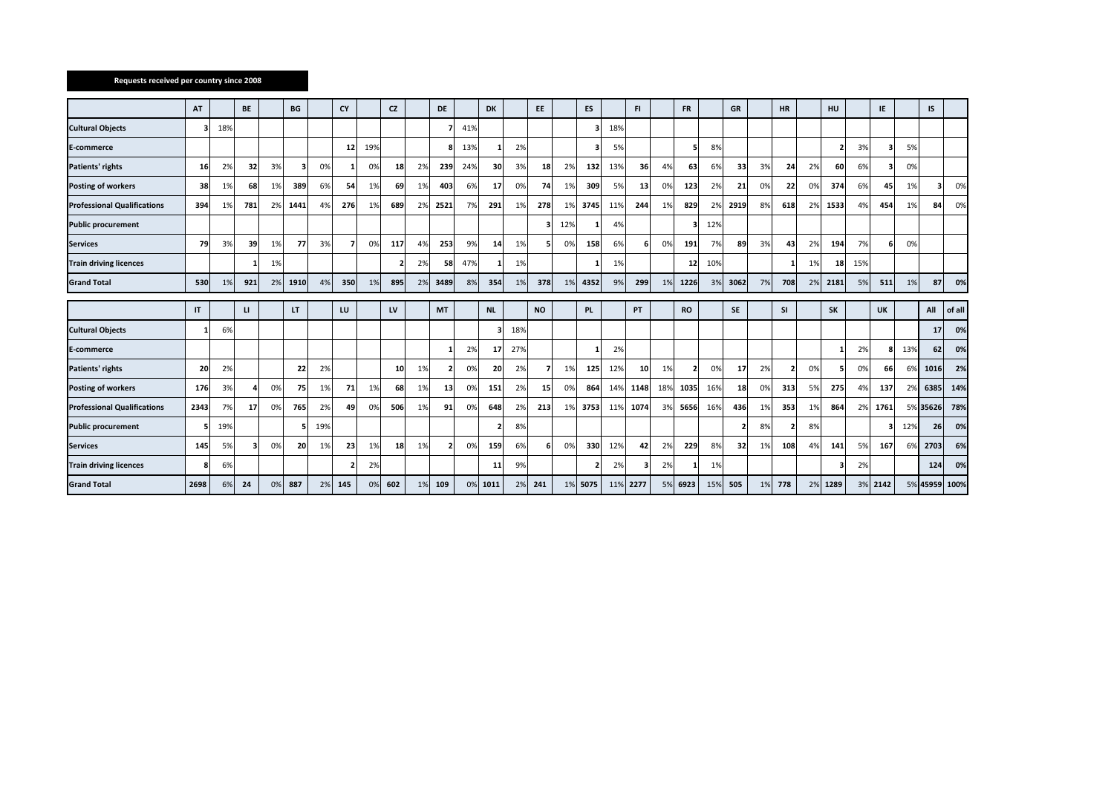### **Requests received per country since 2008**

|                                    | AT   |     | <b>BE</b> |    | BG   |     | CY  |     | <b>CZ</b> |    | DE        |     | <b>DK</b> |     | EE.       |     | ES        |     | FI.       |     | <b>FR</b> |     | GR           |    | <b>HR</b>                |    | HU                       |     | IE        |     | IS       |        |
|------------------------------------|------|-----|-----------|----|------|-----|-----|-----|-----------|----|-----------|-----|-----------|-----|-----------|-----|-----------|-----|-----------|-----|-----------|-----|--------------|----|--------------------------|----|--------------------------|-----|-----------|-----|----------|--------|
| <b>Cultural Objects</b>            |      | 18% |           |    |      |     |     |     |           |    |           | 41% |           |     |           |     | 3         | 18% |           |     |           |     |              |    |                          |    |                          |     |           |     |          |        |
| <b>E-commerce</b>                  |      |     |           |    |      |     | 12  | 19% |           |    |           | 13% |           | 2%  |           |     | з         | 5%  |           |     | 5         | 8%  |              |    |                          |    | $\overline{\phantom{a}}$ | 3%  |           | 5%  |          |        |
| Patients' rights                   | 16   | 2%  | 32        | 3% | э    | 0%  |     | 0%  | 18        | 2% | 239       | 24% | 30        | 3%  | 18        | 2%  | 132       | 13% | 36        | 4%  | 63        | 6%  | 33           | 3% | 24                       | 2% | 60                       | 6%  | э         | 0%  |          |        |
| <b>Posting of workers</b>          | 38   | 1%  | 68        | 1% | 389  | 6%  | 54  | 1%  | 69        | 1% | 403       | 6%  | 17        | 0%  | 74        | 1%  | 309       | 5%  | 13        | 0%  | 123       | 2%  | 21           | 0% | 22                       | 0% | 374                      | 6%  | 45        | 1%  | 3        | 0%     |
| <b>Professional Qualifications</b> | 394  | 1%  | 781       | 2% | 1441 | 4%  | 276 | 1%  | 689       | 2% | 2521      | 7%  | 291       | 1%  | 278       | 1%  | 3745      | 11% | 244       | 1%  | 829       | 2%  | 2919         | 8% | 618                      | 2% | 1533                     | 4%  | 454       | 1%  | 84       | 0%     |
| <b>Public procurement</b>          |      |     |           |    |      |     |     |     |           |    |           |     |           |     |           | 12% | 1         | 4%  |           |     | 31        | 12% |              |    |                          |    |                          |     |           |     |          |        |
| <b>Services</b>                    | 79   | 3%  | 39        | 1% | 77   | 3%  |     | 0%  | 117       | 4% | 253       | 9%  | 14        | 1%  |           | 0%  | 158       | 6%  | 6         | 0%  | 191       | 7%  | 89           | 3% | 43                       | 2% | 194                      | 7%  | 6         | 0%  |          |        |
| <b>Train driving licences</b>      |      |     |           | 1% |      |     |     |     |           | 2% | 58        | 47% |           | 1%  |           |     |           | 1%  |           |     | 12        | 10% |              |    |                          | 1% | 18                       | 15% |           |     |          |        |
| <b>Grand Total</b>                 | 530  | 1%  | 921       | 2% | 1910 | 4%  | 350 | 1%  | 895       | 2% | 3489      | 8%  | 354       | 1%  | 378       | 1%  | 4352      | 9%  | 299       | 1%  | 1226      | 3%  | 3062         | 7% | 708                      | 2% | 2181                     | 5%  | 511       | 1%  | 87       | 0%     |
|                                    |      |     |           |    |      |     |     |     |           |    |           |     |           |     |           |     |           |     |           |     |           |     |              |    |                          |    |                          |     |           |     |          |        |
|                                    | IT   |     | u.        |    | LT.  |     | LU  |     | LV        |    | <b>MT</b> |     | <b>NL</b> |     | <b>NO</b> |     | <b>PL</b> |     | <b>PT</b> |     | <b>RO</b> |     | <b>SE</b>    |    | <b>SI</b>                |    | <b>SK</b>                |     | <b>UK</b> |     | All      | of all |
| <b>Cultural Objects</b>            |      | 6%  |           |    |      |     |     |     |           |    |           |     |           | 18% |           |     |           |     |           |     |           |     |              |    |                          |    |                          |     |           |     | 17       | 0%     |
| E-commerce                         |      |     |           |    |      |     |     |     |           |    |           | 2%  | 17        | 27% |           |     |           | 2%  |           |     |           |     |              |    |                          |    |                          | 2%  |           | 13% | 62       | 0%     |
| Patients' rights                   | 20   | 2%  |           |    | 22   | 2%  |     |     | 10        | 1% |           | 0%  | 20        | 2%  |           | 1%  | 125       | 12% | 10        | 1%  | 2         | 0%  | 17           | 2% | $\overline{\phantom{a}}$ | 0% | 5                        | 0%  | 66        | 6%  | 1016     | 2%     |
| <b>Posting of workers</b>          | 176  | 3%  |           | 0% | 75   | 1%  | 71  | 1%  | 68        | 1% | 13        | 0%  | 151       | 2%  | 15        | 0%  | 864       | 14% | 1148      | 18% | 1035      | 16% | 18           | 0% | 313                      | 5% | 275                      | 4%  | 137       | 2%  | 6385     | 14%    |
| <b>Professional Qualifications</b> | 2343 | 7%  | 17        | 0% | 765  | 2%  | 49  | 0%  | 506       | 1% | 91        | 0%  | 648       | 2%  | 213       | 1%  | 3753      | 11% | 1074      | 3%  | 5656      | 16% | 436          | 1% | 353                      | 1% | 864                      | 2%  | 1761      |     | 5% 35626 | 78%    |
| <b>Public procurement</b>          |      | 19% |           |    |      | 19% |     |     |           |    |           |     |           | 8%  |           |     |           |     |           |     |           |     | $\mathbf{z}$ | 8% | э                        | 8% |                          |     | 3         | 12% | 26       | 0%     |
| <b>Services</b>                    | 145  | 5%  |           | 0% | 20   | 1%  | 23  | 1%  | 18        | 1% |           | 0%  | 159       | 6%  |           | 0%  | 330       | 12% | 42        | 2%  | 229       | 8%  | 32           | 1% | 108                      | 4% | 141                      | 5%  | 167       | 6%  | 2703     | 6%     |
| <b>Train driving licences</b>      |      | 6%  |           |    |      |     |     | 2%  |           |    |           |     | 11        | 9%  |           |     | 2         | 2%  | з         | 2%  |           | 1%  |              |    |                          |    | з                        | 2%  |           |     | 124      | 0%     |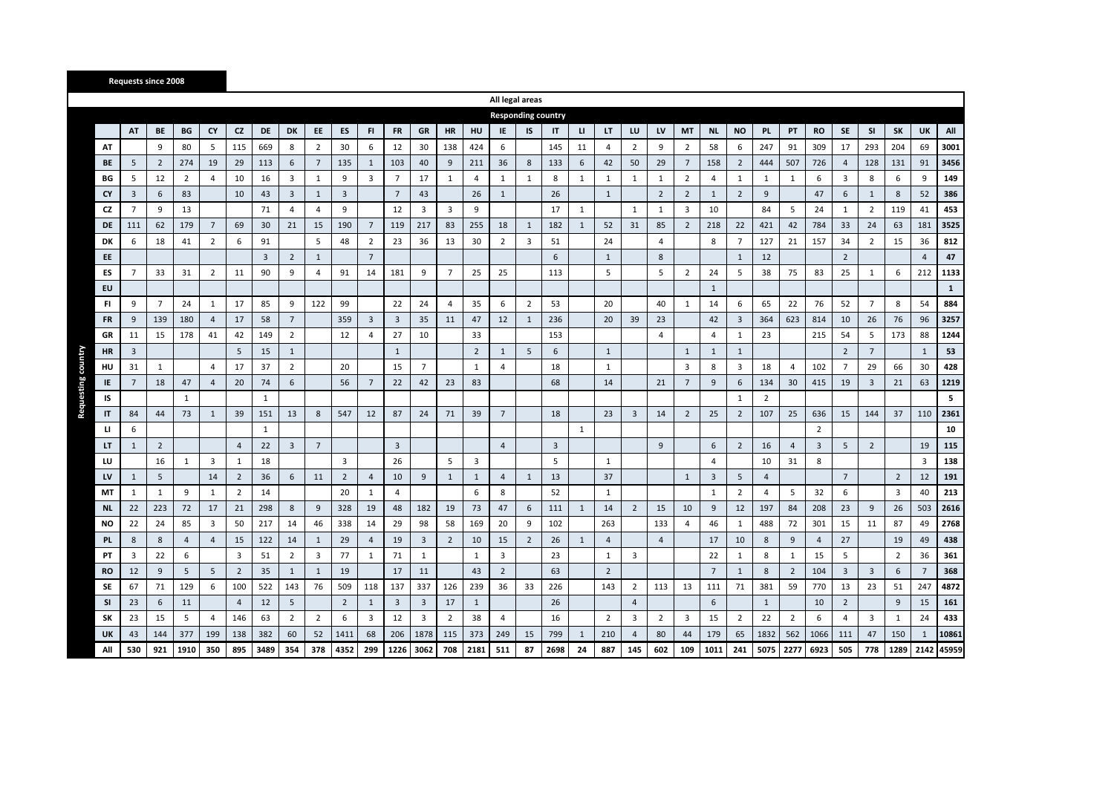|           |                |                |                |                 |                |                |                |                 |                |                 |                |                         |                         |                | All legal areas           |                |                |              |                |                |                |                 |                |                |                |                |                |                |                |                |                |              |
|-----------|----------------|----------------|----------------|-----------------|----------------|----------------|----------------|-----------------|----------------|-----------------|----------------|-------------------------|-------------------------|----------------|---------------------------|----------------|----------------|--------------|----------------|----------------|----------------|-----------------|----------------|----------------|----------------|----------------|----------------|----------------|----------------|----------------|----------------|--------------|
|           |                |                |                |                 |                |                |                |                 |                |                 |                |                         |                         |                | <b>Responding country</b> |                |                |              |                |                |                |                 |                |                |                |                |                |                |                |                |                |              |
|           | AT             | BE             | BG             | CY              | <b>CZ</b>      | <b>DE</b>      | DK             | EE              | ES             | FI              | <b>FR</b>      | GR                      | <b>HR</b>               | HU             | IE                        | <b>IS</b>      | IT             | $\mathbf{u}$ | LT             | LU             | LV             | MT              | <b>NL</b>      | <b>NO</b>      | PL             | PT             | <b>RO</b>      | <b>SE</b>      | SI             | SK             | UK             | All          |
| AT        |                | 9              | 80             | 5               | 115            | 669            | 8              | $\overline{2}$  | 30             | 6               | 12             | 30                      | 138                     | 424            | 6                         |                | 145            | 11           | 4              | $\overline{2}$ | 9              | $\overline{2}$  | 58             | 6              | 247            | 91             | 309            | 17             | 293            | 204            | 69             | 3001         |
| BE        | 5              | $\overline{2}$ | 274            | 19              | 29             | 113            | 6              | $7\overline{ }$ | 135            | 1               | 103            | 40                      | 9                       | 211            | 36                        | 8              | 133            | 6            | 42             | 50             | 29             | $7\overline{ }$ | 158            | $\overline{2}$ | 444            | 507            | 726            | $\overline{4}$ | 128            | 131            | 91             | 3456         |
| BG        | 5              | 12             | $\overline{2}$ | 4               | 10             | 16             | 3              | $\mathbf{1}$    | 9              | 3               | $\overline{7}$ | 17                      | $\mathbf{1}$            | $\overline{a}$ | $\mathbf{1}$              | $\mathbf{1}$   | 8              | 1            | $\mathbf{1}$   | $\mathbf{1}$   | $\mathbf{1}$   | $\overline{2}$  | 4              | $\mathbf{1}$   | 1              | $\mathbf{1}$   | 6              | 3              | 8              | 6              | 9              | 149          |
| <b>CY</b> | 3              | 6              | 83             |                 | 10             | 43             | 3              | $\mathbf{1}$    | 3              |                 | $\overline{7}$ | 43                      |                         | 26             | $\mathbf{1}$              |                | 26             |              | $\mathbf{1}$   |                | $\overline{2}$ | $\overline{2}$  | 1              | $\overline{2}$ | 9              |                | 47             | 6              | 1              | 8              | 52             | 386          |
| CZ        | $\overline{7}$ | 9              | 13             |                 |                | 71             | $\overline{4}$ | $\overline{4}$  | 9              |                 | 12             | 3                       | $\overline{\mathbf{3}}$ | 9              |                           |                | 17             | $\mathbf{1}$ |                | $\mathbf{1}$   | $\mathbf{1}$   | 3               | 10             |                | 84             | 5              | 24             | $\mathbf{1}$   | $\overline{2}$ | 119            | 41             | 453          |
| <b>DE</b> | 111            | 62             | 179            | $7\overline{ }$ | 69             | 30             | 21             | 15              | 190            | $7\overline{ }$ | 119            | 217                     | 83                      | 255            | 18                        | $\mathbf{1}$   | 182            | $\mathbf{1}$ | 52             | 31             | 85             | $\overline{2}$  | 218            | 22             | 421            | 42             | 784            | 33             | 24             | 63             | 181            | 3525         |
| DK        | 6              | 18             | 41             | $\overline{2}$  | 6              | 91             |                | 5               | 48             | 2               | 23             | 36                      | 13                      | 30             | $\overline{2}$            | 3              | 51             |              | 24             |                | 4              |                 | 8              | $\overline{7}$ | 127            | 21             | 157            | 34             | $\overline{2}$ | 15             | 36             | 812          |
| EE        |                |                |                |                 |                | $\overline{3}$ | $\overline{2}$ | $\mathbf{1}$    |                | $\overline{7}$  |                |                         |                         |                |                           |                | 6              |              | $\mathbf{1}$   |                | 8              |                 |                | 1              | 12             |                |                | $\overline{2}$ |                |                | $\overline{4}$ | 47           |
| ES        | $\overline{7}$ | 33             | 31             | $\overline{2}$  | 11             | 90             | 9              | $\overline{4}$  | 91             | 14              | 181            | 9                       | $\overline{7}$          | 25             | 25                        |                | 113            |              | 5              |                | 5              | $\overline{2}$  | 24             | 5              | 38             | 75             | 83             | 25             | $\mathbf{1}$   | 6              | 212            | 1133         |
| EU        |                |                |                |                 |                |                |                |                 |                |                 |                |                         |                         |                |                           |                |                |              |                |                |                |                 | $\mathbf{1}$   |                |                |                |                |                |                |                |                | $\mathbf{1}$ |
| FI.       | 9              | $\overline{7}$ | 24             | $\mathbf{1}$    | 17             | 85             | 9              | 122             | 99             |                 | 22             | 24                      | $\overline{4}$          | 35             | 6                         | 2              | 53             |              | 20             |                | 40             | $\mathbf{1}$    | 14             | 6              | 65             | 22             | 76             | 52             | $\overline{7}$ | 8              | 54             | 884          |
| <b>FR</b> | 9              | 139            | 180            | $\overline{4}$  | 17             | 58             | $\overline{7}$ |                 | 359            | 3               | $\overline{3}$ | 35                      | 11                      | 47             | 12                        | $\mathbf{1}$   | 236            |              | 20             | 39             | 23             |                 | 42             | $\overline{3}$ | 364            | 623            | 814            | 10             | 26             | 76             | 96             | 3257         |
| GR        | 11             | 15             | 178            | 41              | 42             | 149            | $\overline{2}$ |                 | 12             | 4               | 27             | 10                      |                         | 33             |                           |                | 153            |              |                |                | $\overline{4}$ |                 | $\overline{4}$ | $\mathbf{1}$   | 23             |                | 215            | 54             | 5              | 173            | 88             | 1244         |
| HR        | 3              |                |                |                 | 5              | 15             | $\mathbf{1}$   |                 |                |                 | $\mathbf{1}$   |                         |                         | $\overline{2}$ | $\mathbf{1}$              | 5              | 6              |              | $\mathbf{1}$   |                |                | $\mathbf{1}$    | 1              | 1              |                |                |                | $\overline{2}$ | $\overline{7}$ |                | $\mathbf{1}$   | 53           |
| HU        | 31             | 1              |                | 4               | 17             | 37             | $\overline{2}$ |                 | 20             |                 | 15             | $7\overline{ }$         |                         | $\mathbf{1}$   | 4                         |                | 18             |              | 1              |                |                | 3               | 8              | 3              | 18             | $\overline{4}$ | 102            | $\overline{7}$ | 29             | 66             | 30             | 428          |
| IE        | 7              | 18             | 47             | $\overline{4}$  | 20             | 74             | 6              |                 | 56             | $7\overline{ }$ | 22             | 42                      | 23                      | 83             |                           |                | 68             |              | 14             |                | 21             | $\overline{7}$  | 9              | 6              | 134            | 30             | 415            | 19             | $\overline{3}$ | 21             | 63             | 1219         |
| IS        |                |                | $\mathbf{1}$   |                 |                | $\mathbf{1}$   |                |                 |                |                 |                |                         |                         |                |                           |                |                |              |                |                |                |                 |                | $\mathbf{1}$   | $\overline{2}$ |                |                |                |                |                |                | 5            |
| IT        | 84             | 44             | 73             | $\mathbf{1}$    | 39             | 151            | 13             | 8               | 547            | 12              | 87             | 24                      | 71                      | 39             | $7\overline{ }$           |                | 18             |              | 23             | $\overline{3}$ | 14             | $\overline{2}$  | 25             | $\overline{2}$ | 107            | 25             | 636            | 15             | 144            | 37             | 110            | 2361         |
| <b>LI</b> | 6              |                |                |                 |                | $\mathbf{1}$   |                |                 |                |                 |                |                         |                         |                |                           |                |                | $\mathbf{1}$ |                |                |                |                 |                |                |                |                | $\overline{2}$ |                |                |                |                | 10           |
| LT        | $\mathbf{1}$   | $\overline{2}$ |                |                 | $\overline{4}$ | 22             | $\overline{3}$ | $\overline{7}$  |                |                 | 3              |                         |                         |                | $\overline{4}$            |                | $\overline{3}$ |              |                |                | 9              |                 | 6              | $\overline{2}$ | 16             | $\overline{4}$ | $\overline{3}$ | 5              | $\overline{2}$ |                | 19             | 115          |
| LU        |                | 16             | $\mathbf{1}$   | $\overline{3}$  | $\mathbf{1}$   | 18             |                |                 | 3              |                 | 26             |                         | 5                       | 3              |                           |                | 5              |              | $\mathbf{1}$   |                |                |                 | $\overline{4}$ |                | 10             | 31             | 8              |                |                |                | 3              | 138          |
| LV        | $\mathbf{1}$   | 5              |                | 14              | $\overline{2}$ | 36             | 6              | 11              | $\overline{2}$ | $\overline{4}$  | 10             | 9                       | 1                       | $\mathbf{1}$   | $\overline{4}$            | $\mathbf{1}$   | 13             |              | 37             |                |                | 1               | 3              | 5              | $\overline{4}$ |                |                | $7^{\circ}$    |                | $\overline{2}$ | 12             | 191          |
| MT        | $\mathbf{1}$   | 1              | 9              | $\mathbf{1}$    | $\overline{2}$ | 14             |                |                 | 20             | 1               | $\overline{4}$ |                         |                         | 6              | 8                         |                | 52             |              | $\mathbf{1}$   |                |                |                 | 1              | $\overline{2}$ | $\overline{4}$ | 5              | 32             | 6              |                | 3              | 40             | 213          |
| <b>NL</b> | 22             | 223            | 72             | 17              | 21             | 298            | 8              | 9               | 328            | 19              | 48             | 182                     | 19                      | 73             | 47                        | 6              | 111            | 1            | 14             | $\overline{2}$ | 15             | 10              | 9              | 12             | 197            | 84             | 208            | 23             | 9              | 26             | 503            | 2616         |
| <b>NO</b> | 22             | 24             | 85             | 3               | 50             | 217            | 14             | 46              | 338            | 14              | 29             | 98                      | 58                      | 169            | 20                        | 9              | 102            |              | 263            |                | 133            | 4               | 46             | 1              | 488            | 72             | 301            | 15             | 11             | 87             | 49             | 2768         |
| <b>PL</b> | 8              | 8              | $\overline{4}$ | $\overline{4}$  | 15             | 122            | 14             | $\mathbf{1}$    | 29             | 4               | 19             | $\overline{\mathbf{3}}$ | $\overline{2}$          | 10             | 15                        | $\overline{2}$ | 26             | $\mathbf{1}$ | $\overline{4}$ |                | $\overline{4}$ |                 | 17             | 10             | 8              | 9              | $\overline{4}$ | 27             |                | 19             | 49             | 438          |
| PT        | 3              | 22             | 6              |                 | $\overline{3}$ | 51             | $\overline{2}$ | 3               | 77             | $\mathbf{1}$    | 71             | $\mathbf{1}$            |                         | 1              | 3                         |                | 23             |              | $\mathbf{1}$   | 3              |                |                 | 22             | $\mathbf{1}$   | 8              | $\mathbf{1}$   | 15             | 5              |                | $\overline{2}$ | 36             | 361          |
| <b>RO</b> | 12             | 9              | 5              | 5               | $\overline{2}$ | 35             | $\mathbf{1}$   | $\mathbf{1}$    | 19             |                 | 17             | 11                      |                         | 43             | $\overline{2}$            |                | 63             |              | $\overline{2}$ |                |                |                 | $\overline{7}$ | $\mathbf{1}$   | 8              | $\overline{2}$ | 104            | $\overline{3}$ | $\overline{3}$ | 6              | $\overline{7}$ | 368          |
| SE        | 67             | 71             | 129            | 6               | 100            | 522            | 143            | 76              | 509            | 118             | 137            | 337                     | 126                     | 239            | 36                        | 33             | 226            |              | 143            | $\overline{2}$ | 113            | 13              | 111            | 71             | 381            | 59             | 770            | 13             | 23             | 51             | 247            | 4872         |
| <b>SI</b> | 23             | 6              | 11             |                 | $\overline{4}$ | 12             | 5              |                 | $\overline{2}$ | 1               | 3              | 3                       | 17                      | 1              |                           |                | 26             |              |                | $\overline{4}$ |                |                 | 6              |                | $\mathbf{1}$   |                | 10             | $\overline{2}$ |                | 9              | 15             | 161          |
| SK        | 23             | 15             | 5              | $\overline{4}$  | 146            | 63             | $\overline{2}$ | $\overline{2}$  | 6              | 3               | 12             | 3                       | $\overline{2}$          | 38             | 4                         |                | 16             |              | $\overline{2}$ | 3              | $\overline{2}$ | $\overline{3}$  | 15             | $\overline{2}$ | 22             | $\overline{2}$ | 6              | $\overline{4}$ | 3              | $\mathbf{1}$   | 24             | 433          |
| UK        | 43             | 144            | 377            | 199             | 138            | 382            | 60             | 52              | 1411           | 68              | 206            | 1878                    | 115                     | 373            | 249                       | 15             | 799            | 1            | 210            | 4              | 80             | 44              | 179            | 65             | 1832           | 562            | 1066           | 111            | 47             | 150            | $\mathbf{1}$   | 10861        |
| All       | 530            | 921            | 1910           | 350             | 895            | 3489           | 354            | 378             | 4352           | 299             | 1226           | 3062                    | 708                     | 2181           | 511                       | 87             | 2698           | 24           | 887            | 145            | 602            | 109             | 1011           | 241            | 5075           | 2277           | 6923           | 505            | 778            | 1289           | 2142           | 45959        |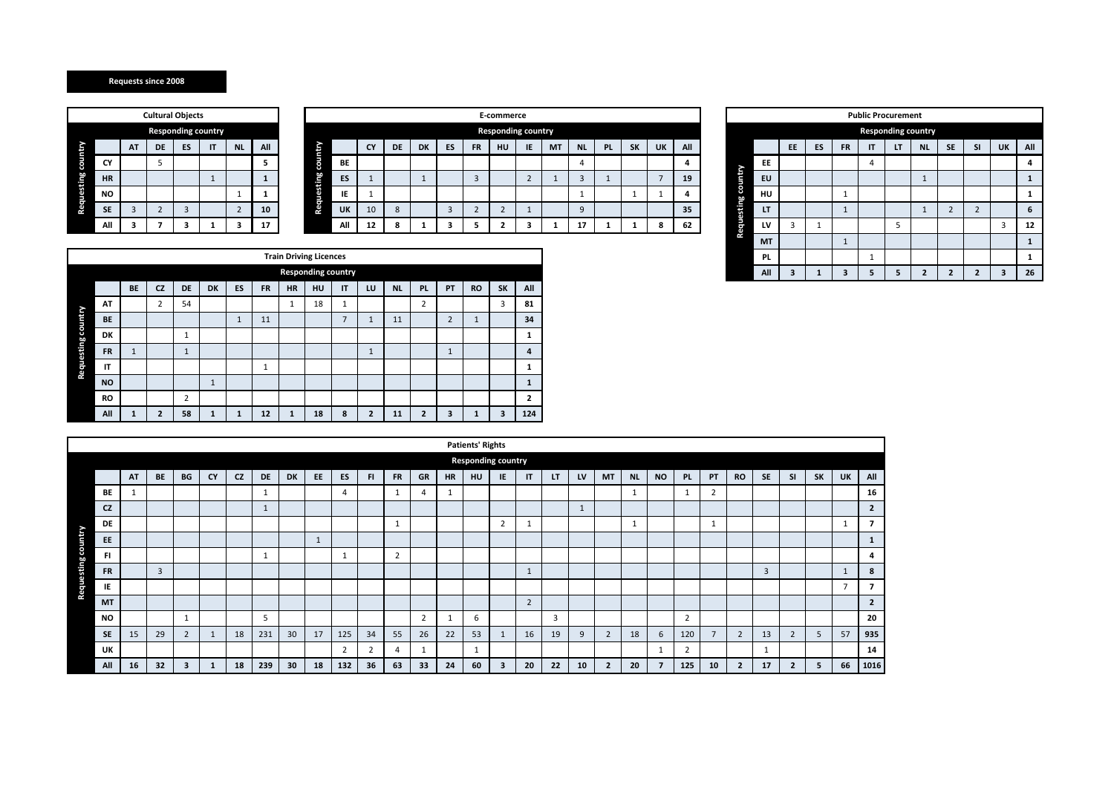|            |           |    | <b>Cultural Objects</b> |                           |    |                |     |                    |     |
|------------|-----------|----|-------------------------|---------------------------|----|----------------|-----|--------------------|-----|
|            |           |    |                         | <b>Responding country</b> |    |                |     |                    |     |
|            |           | AT | DE                      | ES                        | IT | <b>NL</b>      | All |                    |     |
| country    | CY        |    | 5                       |                           |    |                | 5   |                    | BE  |
|            | <b>HR</b> |    |                         |                           |    |                |     | Requesting country | ES  |
| Requesting | <b>NO</b> |    |                         |                           |    |                |     |                    | IE  |
|            | <b>SE</b> | 3  | $\overline{2}$          | 3                         |    | $\overline{2}$ | 10  |                    | UK  |
|            | All       |    |                         |                           |    |                |     |                    | All |

|     |    | <b>Cultural Objects</b> |    |                           |           |     |        |           |           |           |           |    |           |                           | E-commerce |           |           |           |           |    |     |        |           |    |    |           |              | <b>Public Procurement</b> |           |           |                          |           |     |
|-----|----|-------------------------|----|---------------------------|-----------|-----|--------|-----------|-----------|-----------|-----------|----|-----------|---------------------------|------------|-----------|-----------|-----------|-----------|----|-----|--------|-----------|----|----|-----------|--------------|---------------------------|-----------|-----------|--------------------------|-----------|-----|
|     |    |                         |    | <b>Responding country</b> |           |     |        |           |           |           |           |    |           | <b>Responding country</b> |            |           |           |           |           |    |     |        |           |    |    |           |              | <b>Responding country</b> |           |           |                          |           |     |
|     | AT | DE                      | ES | IT                        | <b>NL</b> | All |        |           | <b>CY</b> | <b>DE</b> | <b>DK</b> | ES | <b>FR</b> | HU                        | IE         | <b>MT</b> | <b>NL</b> | <b>PL</b> | <b>SK</b> | UK | All |        |           | EE | ES | <b>FR</b> | $\mathsf{I}$ | -                         | <b>NL</b> | <b>SE</b> | SI                       | <b>UK</b> | All |
| CY  |    |                         |    |                           |           |     | B<br>æ | <b>BE</b> |           |           |           |    |           |                           |            |           |           |           |           |    |     |        | EE        |    |    |           |              |                           |           |           |                          |           |     |
| HR. |    |                         |    |                           |           |     | ឌ្ន    | ES        |           |           |           |    |           |                           |            |           |           |           |           |    | 19  | intr   | EU        |    |    |           |              |                           |           |           |                          |           |     |
| NO  |    |                         |    |                           |           |     | 8      | IE        |           |           |           |    |           |                           |            |           |           |           |           |    |     | S<br>÷ | HU        |    |    |           |              |                           |           |           |                          |           |     |
| SE. |    |                         |    |                           |           | 10  | م<br>ج | UK        | 10        | 8         |           |    |           |                           |            |           |           |           |           |    | 35  | ÷.     | <b>LT</b> |    |    |           |              |                           |           |           | $\overline{\phantom{a}}$ |           | -6  |
| ΔIΙ |    |                         | -  |                           |           | 17  |        | All       | 12        | 8         |           |    |           |                           |            |           | 17        |           |           | -8 | 62  | 흕      | LV        |    |    |           |              |                           |           |           |                          |           | 12  |

|                    |           |    |              |              | <b>Public Procurement</b> |    |                           |                |                |    |              |
|--------------------|-----------|----|--------------|--------------|---------------------------|----|---------------------------|----------------|----------------|----|--------------|
|                    |           |    |              |              |                           |    | <b>Responding country</b> |                |                |    |              |
|                    |           | EE | ES           | <b>FR</b>    | IT                        | LT | <b>NL</b>                 | <b>SE</b>      | <b>SI</b>      | UK | All          |
|                    | EE        |    |              |              | $\overline{4}$            |    |                           |                |                |    | 4            |
|                    | EU        |    |              |              |                           |    | $\mathbf{1}$              |                |                |    | $\mathbf{1}$ |
|                    | HU        |    |              | $\mathbf{1}$ |                           |    |                           |                |                |    | $\mathbf{1}$ |
| Requesting country | LT        |    |              | $\mathbf{1}$ |                           |    | $\mathbf{1}$              | $\overline{2}$ | $\overline{2}$ |    | 6            |
|                    | LV        | 3  | 1            |              |                           | 5  |                           |                |                | 3  | 12           |
|                    | <b>MT</b> |    |              | $\mathbf{1}$ |                           |    |                           |                |                |    | $\mathbf{1}$ |
|                    | <b>PL</b> |    |              |              | $\mathbf{1}$              |    |                           |                |                |    | $\mathbf{1}$ |
|                    | All       | 3  | $\mathbf{1}$ | 3            | 5                         | 5  | $\overline{2}$            | $\overline{2}$ | $\overline{2}$ | 3  | 26           |

|                    |           |              |                |                |              |              |              | <b>Train Driving Licences</b> |    |                |                |           |                |                |              |           |              |
|--------------------|-----------|--------------|----------------|----------------|--------------|--------------|--------------|-------------------------------|----|----------------|----------------|-----------|----------------|----------------|--------------|-----------|--------------|
|                    |           |              |                |                |              |              |              | <b>Responding country</b>     |    |                |                |           |                |                |              |           |              |
|                    |           | <b>BE</b>    | <b>CZ</b>      | DE             | <b>DK</b>    | <b>ES</b>    | <b>FR</b>    | <b>HR</b>                     | HU | IT             | LU             | <b>NL</b> | <b>PL</b>      | PT             | <b>RO</b>    | <b>SK</b> | All          |
|                    | AT        |              | 2              | 54             |              |              |              | $\mathbf{1}$                  | 18 | 1              |                |           | 2              |                |              | 3         | 81           |
|                    | <b>BE</b> |              |                |                |              | $\mathbf{1}$ | 11           |                               |    | $\overline{7}$ | $\mathbf{1}$   | 11        |                | $\overline{2}$ | $\mathbf{1}$ |           | 34           |
|                    | <b>DK</b> |              |                | $\mathbf{1}$   |              |              |              |                               |    |                |                |           |                |                |              |           | 1            |
|                    | <b>FR</b> | $\mathbf{1}$ |                | $\mathbf{1}$   |              |              |              |                               |    |                | $\mathbf{1}$   |           |                | $\mathbf{1}$   |              |           | 4            |
| Requesting country | IT        |              |                |                |              |              | $\mathbf{1}$ |                               |    |                |                |           |                |                |              |           | $\mathbf{1}$ |
|                    | <b>NO</b> |              |                |                | $\mathbf{1}$ |              |              |                               |    |                |                |           |                |                |              |           | $\mathbf{1}$ |
|                    | RO        |              |                | $\overline{2}$ |              |              |              |                               |    |                |                |           |                |                |              |           | $\mathbf{2}$ |
|                    | All       | 1            | $\overline{2}$ | 58             | $\mathbf{1}$ | $\mathbf{1}$ | 12           | $\mathbf{1}$                  | 18 | 8              | $\overline{2}$ | 11        | $\overline{2}$ | 3              | 1            | 3         | 124          |

|                    |           |    |    |                |              |           |              |           |    |                |    |                |                |           | <b>Patients' Rights</b> |                           |                |    |    |                |           |                         |                |                |                |                |                |           |              |                |
|--------------------|-----------|----|----|----------------|--------------|-----------|--------------|-----------|----|----------------|----|----------------|----------------|-----------|-------------------------|---------------------------|----------------|----|----|----------------|-----------|-------------------------|----------------|----------------|----------------|----------------|----------------|-----------|--------------|----------------|
|                    |           |    |    |                |              |           |              |           |    |                |    |                |                |           |                         | <b>Responding country</b> |                |    |    |                |           |                         |                |                |                |                |                |           |              |                |
|                    |           | AT | BE | BG             | CY           | <b>CZ</b> | <b>DE</b>    | <b>DK</b> | EE | ES             | F1 | <b>FR</b>      | GR             | <b>HR</b> | HU                      | IE.                       | IT             | LT | LV | <b>MT</b>      | <b>NL</b> | <b>NO</b>               | <b>PL</b>      | PT             | <b>RO</b>      | <b>SE</b>      | <b>SI</b>      | <b>SK</b> | <b>UK</b>    | All            |
|                    | <b>BE</b> |    |    |                |              |           | 1            |           |    | $\overline{4}$ |    |                | 4              |           |                         |                           |                |    |    |                |           |                         | 1              | $\overline{2}$ |                |                |                |           |              | 16             |
|                    | <b>CZ</b> |    |    |                |              |           | $\mathbf{1}$ |           |    |                |    |                |                |           |                         |                           |                |    |    |                |           |                         |                |                |                |                |                |           |              | $\overline{2}$ |
|                    | DE        |    |    |                |              |           |              |           |    |                |    | $\mathbf{1}$   |                |           |                         | $\overline{2}$            | 1              |    |    |                |           |                         |                |                |                |                |                |           |              | 7              |
| Requesting country | EE        |    |    |                |              |           |              |           |    |                |    |                |                |           |                         |                           |                |    |    |                |           |                         |                |                |                |                |                |           |              |                |
|                    | FI        |    |    |                |              |           | 1            |           |    | $\mathbf{1}$   |    | $\overline{2}$ |                |           |                         |                           |                |    |    |                |           |                         |                |                |                |                |                |           |              | 4              |
|                    | <b>FR</b> |    | 3  |                |              |           |              |           |    |                |    |                |                |           |                         |                           | 1              |    |    |                |           |                         |                |                |                | $\overline{3}$ |                |           |              | 8              |
|                    | IE        |    |    |                |              |           |              |           |    |                |    |                |                |           |                         |                           |                |    |    |                |           |                         |                |                |                |                |                |           | $\mathbf{z}$ |                |
|                    | <b>MT</b> |    |    |                |              |           |              |           |    |                |    |                |                |           |                         |                           | $\overline{2}$ |    |    |                |           |                         |                |                |                |                |                |           |              | $\overline{2}$ |
|                    | <b>NO</b> |    |    |                |              |           | 5            |           |    |                |    |                | $\overline{2}$ |           | 6                       |                           |                | 3  |    |                |           |                         | $\overline{2}$ |                |                |                |                |           |              | 20             |
|                    | <b>SE</b> | 15 | 29 | $\overline{2}$ | $\mathbf{1}$ | 18        | 231          | 30        | 17 | 125            | 34 | 55             | 26             | 22        | 53                      |                           | 16             | 19 | 9  | $\overline{2}$ | 18        | 6                       | 120            | $\overline{7}$ | $\overline{2}$ | 13             | $\overline{2}$ | 5         | 57           | 935            |
|                    | UK        |    |    |                |              |           |              |           |    | $\overline{2}$ | n, | 4              |                |           | 1                       |                           |                |    |    |                |           | 1                       | $\overline{2}$ |                |                |                |                |           |              | 14             |
|                    | All       | 16 | 32 |                |              | 18        | 239          | 30        | 18 | 132            | 36 | 63             | 33             | 24        | 60                      | В                         | 20             | 22 | 10 | $\overline{2}$ | 20        | $\overline{\mathbf{z}}$ | 125            | 10             | $\overline{2}$ | 17             | $\overline{2}$ | 5         | 66           | 1016           |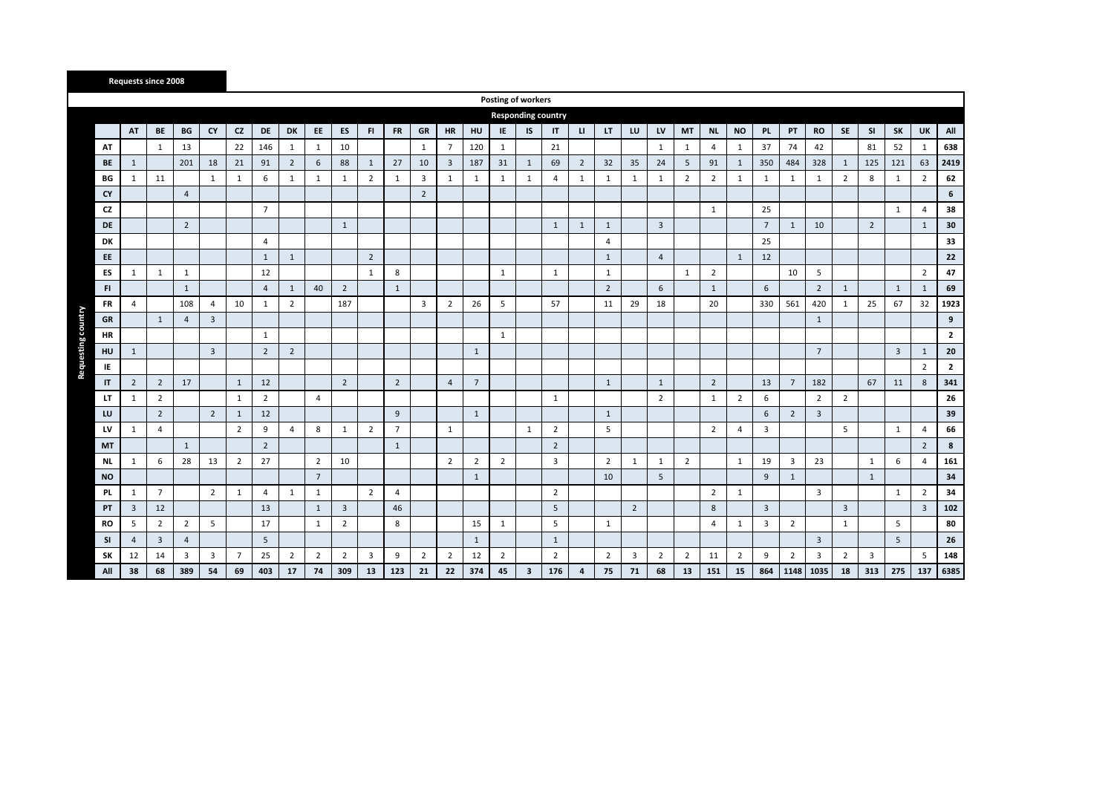|           |                |                |                |                |                |                |                |                 |                |                |                |                         |                |                | Posting of workers |              |                           |                |                |                |                |                |                |                |                |                 |                 |                |                |                         |                |                |
|-----------|----------------|----------------|----------------|----------------|----------------|----------------|----------------|-----------------|----------------|----------------|----------------|-------------------------|----------------|----------------|--------------------|--------------|---------------------------|----------------|----------------|----------------|----------------|----------------|----------------|----------------|----------------|-----------------|-----------------|----------------|----------------|-------------------------|----------------|----------------|
|           |                |                |                |                |                |                |                |                 |                |                |                |                         |                |                |                    |              | <b>Responding country</b> |                |                |                |                |                |                |                |                |                 |                 |                |                |                         |                |                |
|           | AT             | BE             | BG             | CY             | <b>CZ</b>      | DE             | DK             | EE              | <b>ES</b>      | FI.            | <b>FR</b>      | GR                      | <b>HR</b>      | HU             | IE.                | <b>IS</b>    | $\mathsf{I}$              | п              | LT.            | LU             | LV             | MT             | <b>NL</b>      | <b>NO</b>      | PL.            | PT              | <b>RO</b>       | SE             | <b>SI</b>      | SK                      | UK             | All            |
| AT        |                | 1              | 13             |                | 22             | 146            | 1              | 1               | 10             |                |                | 1                       | 7              | 120            | 1                  |              | 21                        |                |                |                | 1              | 1              | 4              | 1              | 37             | 74              | 42              |                | 81             | 52                      | 1              | 638            |
| BE        | $\mathbf{1}$   |                | 201            | 18             | 21             | 91             | $\overline{2}$ | 6               | 88             | 1              | 27             | 10                      | $\overline{3}$ | 187            | 31                 | 1            | 69                        | $\overline{2}$ | 32             | 35             | 24             | 5              | 91             | 1              | 350            | 484             | 328             | 1              | 125            | 121                     | 63             | 2419           |
| BG        | $\mathbf{1}$   | 11             |                | 1              | $\mathbf{1}$   | 6              | $\mathbf{1}$   | $\mathbf{1}$    | 1              | $\overline{2}$ | $\mathbf{1}$   | $\overline{\mathbf{3}}$ | 1              | $\mathbf{1}$   | $\mathbf{1}$       | $\mathbf{1}$ | $\overline{4}$            | $\mathbf{1}$   | $\mathbf{1}$   | 1              | $\mathbf{1}$   | $\overline{2}$ | $\overline{2}$ | 1              | $\mathbf{1}$   | 1               | 1               | $\overline{2}$ | 8              | $\mathbf{1}$            | $\overline{2}$ | 62             |
| CY        |                |                | $\overline{4}$ |                |                |                |                |                 |                |                |                | $\overline{2}$          |                |                |                    |              |                           |                |                |                |                |                |                |                |                |                 |                 |                |                |                         |                | 6              |
| CZ        |                |                |                |                |                | $\overline{7}$ |                |                 |                |                |                |                         |                |                |                    |              |                           |                |                |                |                |                | $\mathbf{1}$   |                | 25             |                 |                 |                |                | $\mathbf{1}$            | $\overline{4}$ | 38             |
| <b>DE</b> |                |                | $\overline{2}$ |                |                |                |                |                 | 1              |                |                |                         |                |                |                    |              | $\mathbf{1}$              | 1              | $\mathbf{1}$   |                | $\overline{3}$ |                |                |                | $\overline{7}$ | 1               | 10              |                | $\overline{2}$ |                         | 1              | 30             |
| <b>DK</b> |                |                |                |                |                | $\overline{4}$ |                |                 |                |                |                |                         |                |                |                    |              |                           |                | $\overline{4}$ |                |                |                |                |                | 25             |                 |                 |                |                |                         |                | 33             |
| EE        |                |                |                |                |                | $\mathbf{1}$   | $\mathbf{1}$   |                 |                | $\overline{2}$ |                |                         |                |                |                    |              |                           |                | $\mathbf{1}$   |                | $\overline{4}$ |                |                | $\mathbf{1}$   | 12             |                 |                 |                |                |                         |                | 22             |
| ES        | $\mathbf{1}$   | $\mathbf{1}$   | 1              |                |                | 12             |                |                 |                | $\mathbf{1}$   | 8              |                         |                |                | $1\,$              |              | $\mathbf{1}$              |                | $\mathbf{1}$   |                |                | $\mathbf{1}$   | $\overline{2}$ |                |                | 10              | 5               |                |                |                         | $\overline{2}$ | 47             |
| FI.       |                |                | $\mathbf{1}$   |                |                | $\overline{4}$ | $\mathbf{1}$   | 40              | $\overline{2}$ |                | $\mathbf{1}$   |                         |                |                |                    |              |                           |                | $\overline{2}$ |                | 6              |                | $\mathbf{1}$   |                | 6              |                 | $\overline{2}$  | $\mathbf{1}$   |                | $\mathbf{1}$            | $\mathbf{1}$   | 69             |
| FR        | 4              |                | 108            | $\overline{4}$ | 10             | 1              | $\overline{2}$ |                 | 187            |                |                | 3                       | $\overline{2}$ | 26             | 5                  |              | 57                        |                | 11             | 29             | 18             |                | 20             |                | 330            | 561             | 420             | 1              | 25             | 67                      | 32             | 1923           |
| GR        |                | 1              | $\overline{4}$ | 3              |                |                |                |                 |                |                |                |                         |                |                |                    |              |                           |                |                |                |                |                |                |                |                |                 | $\mathbf{1}$    |                |                |                         |                | 9              |
| HR        |                |                |                |                |                | $\mathbf{1}$   |                |                 |                |                |                |                         |                |                | $\mathbf{1}$       |              |                           |                |                |                |                |                |                |                |                |                 |                 |                |                |                         |                | $\overline{2}$ |
| HU        | $\mathbf{1}$   |                |                | $\overline{3}$ |                | $\overline{2}$ | $\mathbf 2$    |                 |                |                |                |                         |                | $\mathbf{1}$   |                    |              |                           |                |                |                |                |                |                |                |                |                 | $7\overline{ }$ |                |                | $\overline{\mathbf{3}}$ | 1              | 20             |
| IE        |                |                |                |                |                |                |                |                 |                |                |                |                         |                |                |                    |              |                           |                |                |                |                |                |                |                |                |                 |                 |                |                |                         | $\overline{2}$ | $\overline{2}$ |
| IT        | $\overline{2}$ | $\overline{2}$ | 17             |                | $\mathbf{1}$   | 12             |                |                 | $\overline{2}$ |                | $\overline{2}$ |                         | $\overline{4}$ | $\overline{7}$ |                    |              |                           |                | $\mathbf{1}$   |                | $\mathbf{1}$   |                | $\overline{2}$ |                | 13             | $7\overline{ }$ | 182             |                | 67             | 11                      | 8              | 341            |
| LT        | $\mathbf{1}$   | $\overline{2}$ |                |                | 1              | $\overline{2}$ |                | 4               |                |                |                |                         |                |                |                    |              | 1                         |                |                |                | $\overline{2}$ |                | $\mathbf{1}$   | $\overline{2}$ | 6              |                 | $\overline{2}$  | $\overline{2}$ |                |                         |                | 26             |
| LU        |                | $\overline{2}$ |                | $\overline{2}$ | $\mathbf{1}$   | 12             |                |                 |                |                | 9              |                         |                | $\mathbf{1}$   |                    |              |                           |                | $\mathbf{1}$   |                |                |                |                |                | 6              | $\overline{2}$  | $\overline{3}$  |                |                |                         |                | 39             |
| LV        | 1              | 4              |                |                | $\overline{2}$ | 9              | $\overline{4}$ | 8               | $\mathbf{1}$   | $\overline{2}$ | $\overline{7}$ |                         | $\mathbf{1}$   |                |                    | $\mathbf{1}$ | $\overline{2}$            |                | 5              |                |                |                | $\overline{2}$ | 4              | $\overline{3}$ |                 |                 | 5              |                | $\mathbf{1}$            | $\overline{4}$ | 66             |
| <b>MT</b> |                |                | $\mathbf{1}$   |                |                | $\overline{2}$ |                |                 |                |                | 1              |                         |                |                |                    |              | $\overline{2}$            |                |                |                |                |                |                |                |                |                 |                 |                |                |                         | $\overline{2}$ | 8              |
| NL        | $\mathbf{1}$   | 6              | 28             | 13             | $\overline{2}$ | 27             |                | $\overline{2}$  | 10             |                |                |                         | $\overline{2}$ | $\overline{2}$ | $\overline{2}$     |              | $\overline{\mathbf{3}}$   |                | $\overline{2}$ | $\mathbf{1}$   | $\mathbf{1}$   | $\overline{2}$ |                | 1              | 19             | 3               | 23              |                | $\mathbf{1}$   | 6                       | $\overline{4}$ | 161            |
| <b>NO</b> |                |                |                |                |                |                |                | $7\overline{ }$ |                |                |                |                         |                | $\mathbf{1}$   |                    |              |                           |                | 10             |                | 5              |                |                |                | 9              | $\mathbf{1}$    |                 |                | $\mathbf{1}$   |                         |                | 34             |
| <b>PL</b> | $\mathbf{1}$   | $\overline{7}$ |                | $\overline{2}$ | $\mathbf{1}$   | $\overline{4}$ | 1              | $\mathbf{1}$    |                | $\overline{2}$ | $\overline{4}$ |                         |                |                |                    |              | $\overline{2}$            |                |                |                |                |                | $\overline{2}$ | 1              |                |                 | $\overline{3}$  |                |                | $\mathbf{1}$            | $\overline{2}$ | 34             |
| PT        | $\overline{3}$ | 12             |                |                |                | 13             |                | $\mathbf{1}$    | $\overline{3}$ |                | 46             |                         |                |                |                    |              | 5                         |                |                | $\overline{2}$ |                |                | 8              |                | $\overline{3}$ |                 |                 | $\overline{3}$ |                |                         | $\overline{3}$ | 102            |
| RO        | 5              | $\overline{2}$ | $\overline{2}$ | 5              |                | 17             |                | 1               | $\overline{2}$ |                | 8              |                         |                | 15             | $\mathbf{1}$       |              | 5                         |                | $\mathbf{1}$   |                |                |                | 4              | 1              | 3              | $\overline{2}$  |                 | $\mathbf{1}$   |                | 5                       |                | 80             |
| <b>SI</b> | $\overline{4}$ | $\overline{3}$ | 4              |                |                | 5              |                |                 |                |                |                |                         |                | $\mathbf{1}$   |                    |              | $\mathbf{1}$              |                |                |                |                |                |                |                |                |                 | $\overline{3}$  |                |                | 5                       |                | 26             |
| SK        | 12             | 14             | 3              | 3              | $\overline{7}$ | 25             | $\overline{2}$ | $\overline{2}$  | $\overline{2}$ | 3              | 9              | $\overline{2}$          | $\overline{2}$ | 12             | $\overline{2}$     |              | $\overline{2}$            |                | $\overline{2}$ | $\overline{3}$ | $\overline{2}$ | $\overline{2}$ | 11             | $\overline{2}$ | 9              | $\overline{2}$  | 3               | $\overline{2}$ | 3              |                         | 5              | 148            |
| All       | 38             | 68             | 389            | 54             | 69             | 403            | 17             | 74              | 309            | 13             | 123            | 21                      | 22             | 374            | 45                 | 3            | 176                       | $\overline{4}$ | 75             | 71             | 68             | 13             | 151            | 15             | 864            | 1148            | 1035            | 18             | 313            | 275                     | 137            | 6385           |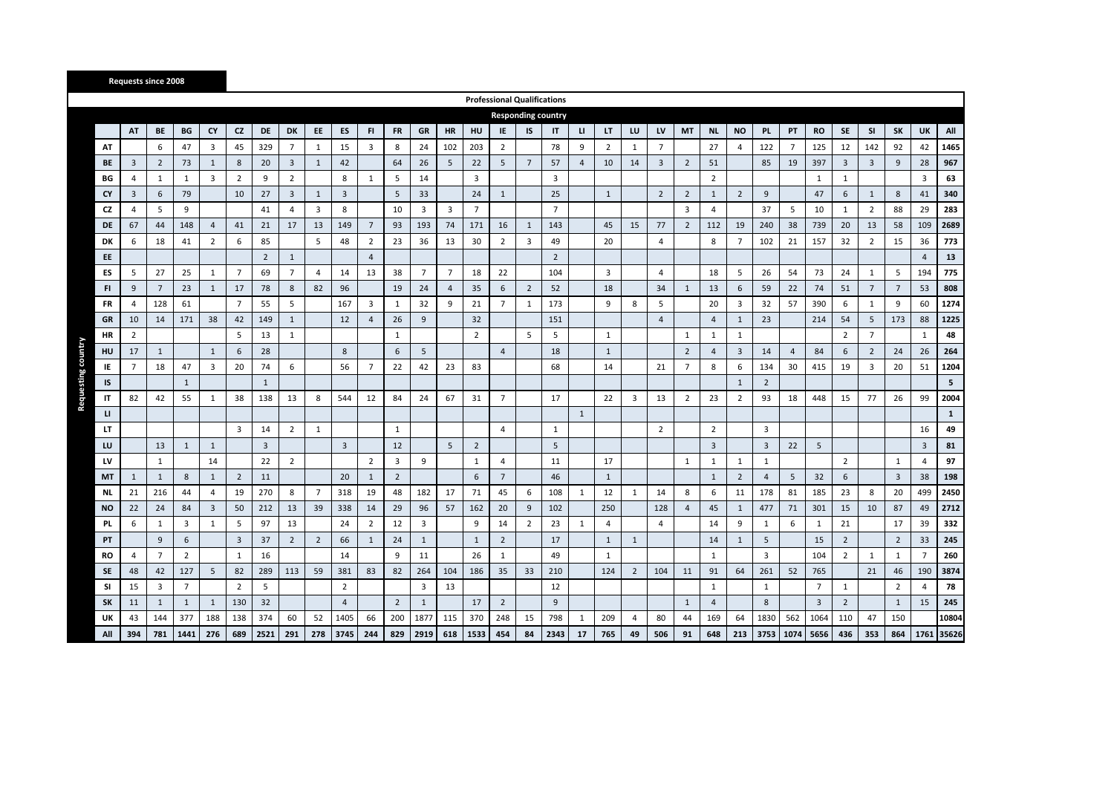|              |                |                |                |                         |                |                |                |                |                |                 |                |                 |                         |                | <b>Professional Qualifications</b> |                 |                |                |                |                |                |                |                |                |                |                 |                 |                |                 |                 |                |               |
|--------------|----------------|----------------|----------------|-------------------------|----------------|----------------|----------------|----------------|----------------|-----------------|----------------|-----------------|-------------------------|----------------|------------------------------------|-----------------|----------------|----------------|----------------|----------------|----------------|----------------|----------------|----------------|----------------|-----------------|-----------------|----------------|-----------------|-----------------|----------------|---------------|
|              |                |                |                |                         |                |                |                |                |                |                 |                |                 |                         |                | <b>Responding country</b>          |                 |                |                |                |                |                |                |                |                |                |                 |                 |                |                 |                 |                |               |
|              | AT             | BE             | BG             | CY                      | <b>CZ</b>      | <b>DE</b>      | DK             | EE             | ES             | F1              | <b>FR</b>      | GR              | <b>HR</b>               | <b>HU</b>      | ΙE                                 | IS              | IT             | $\mathbf{u}$   | LT.            | LU             | LV             | <b>MT</b>      | <b>NL</b>      | <b>NO</b>      | <b>PL</b>      | PT              | <b>RO</b>       | SE             | <b>SI</b>       | SK              | UK             | All           |
| AT           |                | 6              | 47             | $\overline{\mathbf{3}}$ | 45             | 329            | $\overline{7}$ | $\mathbf{1}$   | 15             | 3               | 8              | 24              | 102                     | 203            | $\overline{2}$                     |                 | 78             | 9              | $\overline{2}$ | 1              | $\overline{7}$ |                | 27             | 4              | 122            | $7\overline{ }$ | 125             | 12             | 142             | 92              | 42             | 1465          |
| <b>BE</b>    | 3              | $\overline{2}$ | 73             | $\mathbf{1}$            | 8              | 20             | $\overline{3}$ | 1              | 42             |                 | 64             | 26              | 5                       | 22             | 5                                  | $7\overline{ }$ | 57             | $\overline{4}$ | 10             | 14             | $\overline{3}$ | $\overline{2}$ | 51             |                | 85             | 19              | 397             | $\overline{3}$ | $\overline{3}$  | 9               | 28             | 967           |
| BG           | 4              | $\mathbf{1}$   | $\mathbf{1}$   | 3                       | $\overline{2}$ | 9              | $\overline{2}$ |                | 8              | 1               | 5              | 14              |                         | 3              |                                    |                 | 3              |                |                |                |                |                | $\overline{2}$ |                |                |                 | $\mathbf{1}$    | 1              |                 |                 | 3              | 63            |
| CY           | 3              | 6              | 79             |                         | 10             | 27             | $\overline{3}$ | $\mathbf{1}$   | 3              |                 | 5              | 33              |                         | 24             | $\mathbf{1}$                       |                 | 25             |                | $\mathbf{1}$   |                | $\overline{2}$ | $\overline{2}$ | $\mathbf{1}$   | $\overline{2}$ | 9              |                 | 47              | 6              | $\mathbf{1}$    | 8               | 41             | 340           |
| CZ           | $\overline{a}$ | 5              | 9              |                         |                | 41             | $\overline{4}$ | 3              | 8              |                 | 10             | 3               | $\overline{\mathbf{3}}$ | $\overline{7}$ |                                    |                 | $\overline{7}$ |                |                |                |                | $\overline{3}$ | $\overline{4}$ |                | 37             | 5               | 10              | $\mathbf{1}$   | $\overline{2}$  | 88              | 29             | 283           |
| DE           | 67             | 44             | 148            | $\overline{4}$          | 41             | 21             | 17             | 13             | 149            | $7\overline{ }$ | 93             | 193             | 74                      | 171            | 16                                 | $\mathbf{1}$    | 143            |                | 45             | 15             | 77             | $\overline{2}$ | 112            | 19             | 240            | 38              | 739             | 20             | 13              | 58              | 109            | 2689          |
| DK           | 6              | 18             | 41             | $\overline{2}$          | 6              | 85             |                | 5              | 48             | $\overline{2}$  | 23             | 36              | 13                      | 30             | $\overline{2}$                     | 3               | 49             |                | 20             |                | $\overline{4}$ |                | 8              | $\overline{7}$ | 102            | 21              | 157             | 32             | $\overline{2}$  | 15              | 36             | 773           |
| EE           |                |                |                |                         |                | $\overline{2}$ | $\mathbf{1}$   |                |                | $\overline{4}$  |                |                 |                         |                |                                    |                 | $\overline{2}$ |                |                |                |                |                |                |                |                |                 |                 |                |                 |                 | $\overline{4}$ | 13            |
| ES           | 5              | 27             | 25             | $\mathbf{1}$            | $\overline{7}$ | 69             | $\overline{7}$ | 4              | 14             | 13              | 38             | $7\overline{ }$ | $\overline{7}$          | 18             | 22                                 |                 | 104            |                | 3              |                | $\overline{a}$ |                | 18             | 5              | 26             | 54              | 73              | 24             | 1               | 5               | 194            | 775           |
| FI           | 9              | $\overline{7}$ | 23             | $\mathbf{1}$            | 17             | 78             | 8              | 82             | 96             |                 | 19             | 24              | $\overline{4}$          | 35             | 6                                  | $\overline{2}$  | 52             |                | 18             |                | 34             | $\mathbf{1}$   | 13             | 6              | 59             | 22              | 74              | 51             | $7\overline{ }$ | $7\overline{ }$ | 53             | 808           |
| <b>FR</b>    | 4              | 128            | 61             |                         | $\overline{7}$ | 55             | 5              |                | 167            | 3               | 1              | 32              | 9                       | 21             | $\overline{7}$                     | 1               | 173            |                | 9              | 8              | 5              |                | 20             | 3              | 32             | 57              | 390             | 6              | 1               | 9               | 60             | 1274          |
| GR           | 10             | 14             | 171            | 38                      | 42             | 149            | $\mathbf{1}$   |                | 12             | $\overline{4}$  | 26             | 9               |                         | 32             |                                    |                 | 151            |                |                |                | $\overline{4}$ |                | $\overline{4}$ | $\mathbf{1}$   | 23             |                 | 214             | 54             | 5               | 173             | 88             | 1225          |
| <b>HR</b>    | $\overline{2}$ |                |                |                         | 5              | 13             | $\mathbf{1}$   |                |                |                 | 1              |                 |                         | $\overline{2}$ |                                    | 5               | 5              |                | $\mathbf{1}$   |                |                | $\mathbf{1}$   | $\mathbf{1}$   | $\mathbf{1}$   |                |                 |                 | $\overline{2}$ | $7\overline{ }$ |                 | $\mathbf{1}$   | 48            |
| HU           | 17             | $\mathbf{1}$   |                | $\mathbf{1}$            | 6              | 28             |                |                | 8              |                 | 6              | 5               |                         |                | $\overline{4}$                     |                 | 18             |                | $\mathbf{1}$   |                |                | $\overline{2}$ | 4              | 3              | 14             | $\overline{4}$  | 84              | 6              | $\overline{2}$  | 24              | 26             | 264           |
| IE           | $\overline{7}$ | 18             | 47             | $\overline{3}$          | 20             | 74             | 6              |                | 56             | $\overline{7}$  | 22             | 42              | 23                      | 83             |                                    |                 | 68             |                | 14             |                | 21             | $\overline{7}$ | 8              | 6              | 134            | 30              | 415             | 19             | $\overline{3}$  | 20              | 51             | 1204          |
| IS           |                |                | $\mathbf{1}$   |                         |                | $\mathbf{1}$   |                |                |                |                 |                |                 |                         |                |                                    |                 |                |                |                |                |                |                |                | $\mathbf{1}$   | $\overline{2}$ |                 |                 |                |                 |                 |                | ${\mathbf 5}$ |
| IT           | 82             | 42             | 55             | $\mathbf{1}$            | 38             | 138            | 13             | 8              | 544            | 12              | 84             | 24              | 67                      | 31             | $\overline{7}$                     |                 | 17             |                | 22             | 3              | 13             | $\overline{2}$ | 23             | 2              | 93             | 18              | 448             | 15             | 77              | 26              | 99             | 2004          |
| $\mathbf{L}$ |                |                |                |                         |                |                |                |                |                |                 |                |                 |                         |                |                                    |                 |                | $\mathbf{1}$   |                |                |                |                |                |                |                |                 |                 |                |                 |                 |                | $\mathbf{1}$  |
| LT           |                |                |                |                         | $\overline{3}$ | 14             | $\overline{2}$ | $\mathbf{1}$   |                |                 | 1              |                 |                         |                | 4                                  |                 | $\mathbf{1}$   |                |                |                | $\overline{2}$ |                | $\overline{2}$ |                | 3              |                 |                 |                |                 |                 | 16             | 49            |
| LU           |                | 13             | $\mathbf{1}$   | 1                       |                | $\overline{3}$ |                |                | $\overline{3}$ |                 | 12             |                 | 5                       | $\overline{2}$ |                                    |                 | 5              |                |                |                |                |                | 3              |                | $\overline{3}$ | 22              | 5               |                |                 |                 | $\overline{3}$ | 81            |
| LV           |                | $\mathbf{1}$   |                | 14                      |                | 22             | $\overline{2}$ |                |                | $\overline{2}$  | 3              | 9               |                         | $\mathbf{1}$   | $\overline{4}$                     |                 | 11             |                | 17             |                |                | $\mathbf{1}$   | $\mathbf{1}$   | $\mathbf{1}$   | 1              |                 |                 | $\overline{2}$ |                 | $\mathbf{1}$    | $\overline{4}$ | 97            |
| MT           | $\mathbf{1}$   | $\mathbf{1}$   | 8              | $\mathbf{1}$            | $\overline{2}$ | 11             |                |                | 20             | 1               | $\overline{2}$ |                 |                         | 6              | $\overline{7}$                     |                 | 46             |                | $\mathbf{1}$   |                |                |                | $\mathbf{1}$   | $\overline{2}$ | $\overline{4}$ | 5               | 32              | 6              |                 | $\overline{3}$  | 38             | 198           |
| NL           | 21             | 216            | 44             | $\overline{4}$          | 19             | 270            | 8              | $\overline{7}$ | 318            | 19              | 48             | 182             | 17                      | 71             | 45                                 | 6               | 108            | 1              | 12             | 1              | 14             | 8              | 6              | 11             | 178            | 81              | 185             | 23             | 8               | 20              | 499            | 2450          |
| <b>NO</b>    | 22             | 24             | 84             | $\overline{\mathbf{3}}$ | 50             | 212            | 13             | 39             | 338            | 14              | 29             | 96              | 57                      | 162            | 20                                 | 9               | 102            |                | 250            |                | 128            | $\overline{4}$ | 45             | $\mathbf{1}$   | 477            | 71              | 301             | 15             | 10              | 87              | 49             | 2712          |
| <b>PL</b>    | 6              | $\mathbf{1}$   | 3              | $\mathbf{1}$            | 5              | 97             | 13             |                | 24             | $\overline{2}$  | 12             | $\overline{3}$  |                         | 9              | 14                                 | $\overline{2}$  | 23             | $\mathbf{1}$   | 4              |                | $\overline{4}$ |                | 14             | 9              | $\mathbf{1}$   | 6               | $\mathbf{1}$    | 21             |                 | 17              | 39             | 332           |
| PT           |                | 9              | 6              |                         | $\overline{3}$ | 37             | $\overline{2}$ | $\overline{2}$ | 66             | 1               | 24             | $\mathbf{1}$    |                         | 1              | $\overline{2}$                     |                 | 17             |                | $\mathbf{1}$   | 1              |                |                | 14             | $\mathbf{1}$   | 5              |                 | 15              | $\overline{2}$ |                 | $\overline{2}$  | 33             | 245           |
| <b>RO</b>    | 4              | $\overline{7}$ | $\overline{2}$ |                         | $\mathbf{1}$   | 16             |                |                | 14             |                 | 9              | 11              |                         | 26             | $\mathbf{1}$                       |                 | 49             |                | $\mathbf{1}$   |                |                |                | $\mathbf{1}$   |                | 3              |                 | 104             | $\overline{2}$ | 1               | $\mathbf{1}$    | $\overline{7}$ | 260           |
| <b>SE</b>    | 48             | 42             | 127            | 5                       | 82             | 289            | 113            | 59             | 381            | 83              | 82             | 264             | 104                     | 186            | 35                                 | 33              | 210            |                | 124            | $\overline{2}$ | 104            | 11             | 91             | 64             | 261            | 52              | 765             |                | 21              | 46              | 190            | 3874          |
| <b>SI</b>    | 15             | 3              | $\overline{7}$ |                         | $\overline{2}$ | 5              |                |                | $\overline{2}$ |                 |                | $\overline{3}$  | 13                      |                |                                    |                 | 12             |                |                |                |                |                | $\mathbf{1}$   |                | 1              |                 | $7\overline{ }$ | $\mathbf{1}$   |                 | $\overline{2}$  | $\overline{4}$ | 78            |
| <b>SK</b>    | 11             | $\mathbf{1}$   | 1              | 1                       | 130            | 32             |                |                | $\overline{4}$ |                 | $\overline{2}$ | 1               |                         | 17             | $\overline{2}$                     |                 | 9              |                |                |                |                | $\mathbf{1}$   | $\overline{4}$ |                | 8              |                 | $\overline{3}$  | $\overline{2}$ |                 | $\mathbf{1}$    | 15             | 245           |
| UK           | 43             | 144            | 377            | 188                     | 138            | 374            | 60             | 52             | 1405           | 66              | 200            | 1877            | 115                     | 370            | 248                                | 15              | 798            | $\mathbf{1}$   | 209            | $\overline{4}$ | 80             | 44             | 169            | 64             | 1830           | 562             | 1064            | 110            | 47              | 150             |                | 10804         |
| All          | 394            | 781            | 1441           | 276                     | 689            | 2521           | 291            | 278            | 3745           | 244             | 829            | 2919            | 618                     | 1533           | 454                                | 84              | 2343           | 17             | 765            | 49             | 506            | 91             | 648            | 213            | 3753           | 1074 5656       |                 | 436            | 353             | 864             |                | 1761 35626    |